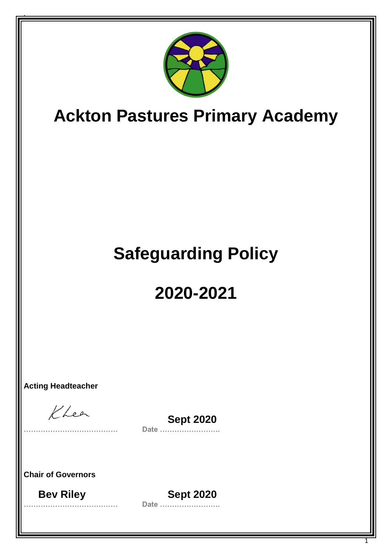

# **Ackton Pastures Primary Academy**

# **Safeguarding Policy**

# **2020-2021**

**Acting Headteacher**

.

 **Sept 2020**

**………………………………… Date …………………….**

**Chair of Governors**



**………………………………… Date …………………….**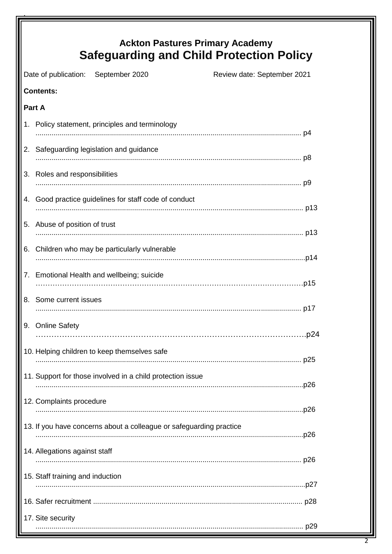|    |                                     |                                                                     |  | <b>Ackton Pastures Primary Academy</b><br><b>Safeguarding and Child Protection Policy</b> |  |  |
|----|-------------------------------------|---------------------------------------------------------------------|--|-------------------------------------------------------------------------------------------|--|--|
|    | Date of publication: September 2020 |                                                                     |  | Review date: September 2021                                                               |  |  |
|    | <b>Contents:</b>                    |                                                                     |  |                                                                                           |  |  |
|    | Part A                              |                                                                     |  |                                                                                           |  |  |
| 1. |                                     | Policy statement, principles and terminology                        |  |                                                                                           |  |  |
|    |                                     | 2. Safeguarding legislation and guidance                            |  |                                                                                           |  |  |
| 3. | Roles and responsibilities          |                                                                     |  |                                                                                           |  |  |
| 4. |                                     | Good practice guidelines for staff code of conduct                  |  |                                                                                           |  |  |
| 5. | Abuse of position of trust          |                                                                     |  |                                                                                           |  |  |
| 6. |                                     | Children who may be particularly vulnerable                         |  |                                                                                           |  |  |
|    |                                     | 7. Emotional Health and wellbeing; suicide                          |  |                                                                                           |  |  |
| 8. | Some current issues                 |                                                                     |  |                                                                                           |  |  |
|    | 9. Online Safety                    |                                                                     |  |                                                                                           |  |  |
|    |                                     | 10. Helping children to keep themselves safe                        |  |                                                                                           |  |  |
|    |                                     | 11. Support for those involved in a child protection issue          |  |                                                                                           |  |  |
|    | 12. Complaints procedure            |                                                                     |  |                                                                                           |  |  |
|    |                                     | 13. If you have concerns about a colleague or safeguarding practice |  |                                                                                           |  |  |
|    | 14. Allegations against staff       |                                                                     |  |                                                                                           |  |  |
|    | 15. Staff training and induction    |                                                                     |  |                                                                                           |  |  |
|    |                                     |                                                                     |  |                                                                                           |  |  |
|    | 17. Site security                   |                                                                     |  |                                                                                           |  |  |

####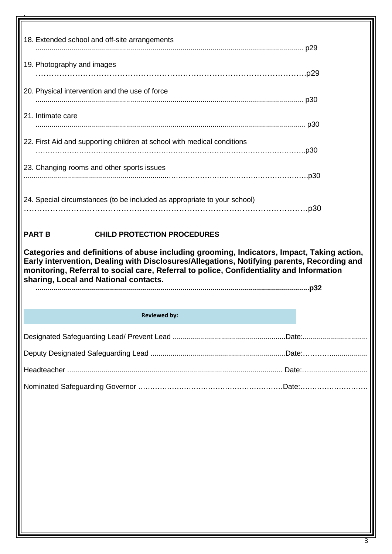| 18. Extended school and off-site arrangements                                                                                                                                                                                                                                                                                                                                        |  |  |  |  |  |
|--------------------------------------------------------------------------------------------------------------------------------------------------------------------------------------------------------------------------------------------------------------------------------------------------------------------------------------------------------------------------------------|--|--|--|--|--|
| 19. Photography and images                                                                                                                                                                                                                                                                                                                                                           |  |  |  |  |  |
| 20. Physical intervention and the use of force                                                                                                                                                                                                                                                                                                                                       |  |  |  |  |  |
| 21. Intimate care                                                                                                                                                                                                                                                                                                                                                                    |  |  |  |  |  |
| 22. First Aid and supporting children at school with medical conditions                                                                                                                                                                                                                                                                                                              |  |  |  |  |  |
| 23. Changing rooms and other sports issues                                                                                                                                                                                                                                                                                                                                           |  |  |  |  |  |
| 24. Special circumstances (to be included as appropriate to your school)                                                                                                                                                                                                                                                                                                             |  |  |  |  |  |
| <b>PART B</b><br><b>CHILD PROTECTION PROCEDURES</b><br>Categories and definitions of abuse including grooming, Indicators, Impact, Taking action,<br>Early intervention, Dealing with Disclosures/Allegations, Notifying parents, Recording and<br>monitoring, Referral to social care, Referral to police, Confidentiality and Information<br>sharing, Local and National contacts. |  |  |  |  |  |
|                                                                                                                                                                                                                                                                                                                                                                                      |  |  |  |  |  |
| <b>Reviewed by:</b>                                                                                                                                                                                                                                                                                                                                                                  |  |  |  |  |  |
|                                                                                                                                                                                                                                                                                                                                                                                      |  |  |  |  |  |
|                                                                                                                                                                                                                                                                                                                                                                                      |  |  |  |  |  |
|                                                                                                                                                                                                                                                                                                                                                                                      |  |  |  |  |  |
|                                                                                                                                                                                                                                                                                                                                                                                      |  |  |  |  |  |

.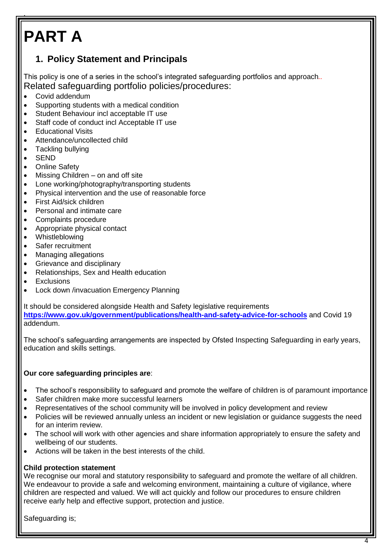# **PART A**

.

# **1. Policy Statement and Principals**

This policy is one of a series in the school's integrated safeguarding portfolios and approach*..*  Related safeguarding portfolio policies/procedures:

- Covid addendum
- Supporting students with a medical condition
- Student Behaviour incl acceptable IT use
- Staff code of conduct incl Acceptable IT use
- Educational Visits
- Attendance/uncollected child
- Tackling bullying
- SEND
- Online Safety
- Missing Children  $-$  on and off site
- Lone working/photography/transporting students
- Physical intervention and the use of reasonable force
- First Aid/sick children
- Personal and intimate care
- Complaints procedure
- Appropriate physical contact
- Whistleblowing
- Safer recruitment
- Managing allegations
- Grievance and disciplinary
- Relationships, Sex and Health education
- Exclusions
- Lock down /invacuation Emergency Planning

It should be considered alongside Health and Safety legislative requirements **<https://www.gov.uk/government/publications/health-and-safety-advice-for-schools>** and Covid 19 addendum.

The school's safeguarding arrangements are inspected by Ofsted Inspecting Safeguarding in early years, education and skills settings.

# **Our core safeguarding principles are**:

- The school's responsibility to safeguard and promote the welfare of children is of paramount importance
- Safer children make more successful learners
- Representatives of the school community will be involved in policy development and review
- Policies will be reviewed annually unless an incident or new legislation or guidance suggests the need for an interim review.
- The school will work with other agencies and share information appropriately to ensure the safety and wellbeing of our students.
- Actions will be taken in the best interests of the child.

#### **Child protection statement**

We recognise our moral and statutory responsibility to safeguard and promote the welfare of all children. We endeavour to provide a safe and welcoming environment, maintaining a culture of vigilance, where children are respected and valued. We will act quickly and follow our procedures to ensure children receive early help and effective support, protection and justice.

Safeguarding is;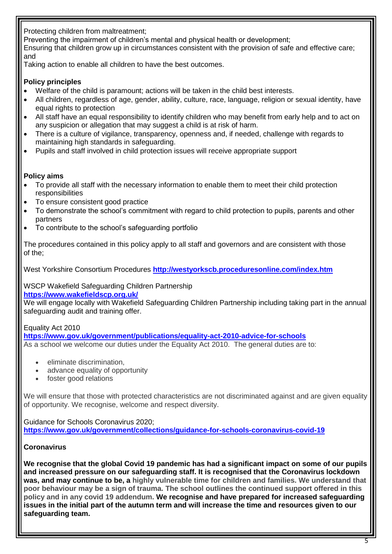Protecting children from maltreatment;

Preventing the impairment of children's mental and physical health or development;

Ensuring that children grow up in circumstances consistent with the provision of safe and effective care; and

Taking action to enable all children to have the best outcomes.

## **Policy principles**

- Welfare of the child is paramount; actions will be taken in the child best interests.
- All children, regardless of age, gender, ability, culture, race, language, religion or sexual identity, have equal rights to protection
- All staff have an equal responsibility to identify children who may benefit from early help and to act on any suspicion or allegation that may suggest a child is at risk of harm.
- There is a culture of vigilance, transparency, openness and, if needed, challenge with regards to maintaining high standards in safeguarding.
- Pupils and staff involved in child protection issues will receive appropriate support

#### **Policy aims**

- To provide all staff with the necessary information to enable them to meet their child protection responsibilities
- To ensure consistent good practice
- To demonstrate the school's commitment with regard to child protection to pupils, parents and other partners
- To contribute to the school's safeguarding portfolio

The procedures contained in this policy apply to all staff and governors and are consistent with those of the;

West Yorkshire Consortium Procedures **<http://westyorkscb.proceduresonline.com/index.htm>**

WSCP Wakefield Safeguarding Children Partnership **<https://www.wakefieldscp.org.uk/>**

We will engage locally with Wakefield Safeguarding Children Partnership including taking part in the annual safeguarding audit and training offer.

#### Equality Act 2010

**<https://www.gov.uk/government/publications/equality-act-2010-advice-for-schools>** As a school we welcome our duties under the Equality Act 2010. The general duties are to:

- eliminate discrimination,
- advance equality of opportunity
- foster good relations

We will ensure that those with protected characteristics are not discriminated against and are given equality of opportunity. We recognise, welcome and respect diversity.

Guidance for Schools Coronavirus 2020; **<https://www.gov.uk/government/collections/guidance-for-schools-coronavirus-covid-19>**

#### **Coronavirus**

**We recognise that the global Covid 19 pandemic has had a significant impact on some of our pupils and increased pressure on our safeguarding staff. It is recognised that the Coronavirus lockdown was, and may continue to be, a highly vulnerable time for children and families. We understand that poor behaviour may be a sign of trauma. The school outlines the continued support offered in this policy and in any covid 19 addendum. We recognise and have prepared for increased safeguarding issues in the initial part of the autumn term and will increase the time and resources given to our safeguarding team.**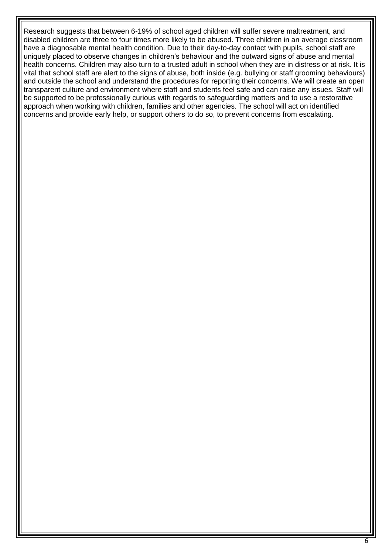Research suggests that between 6-19% of school aged children will suffer severe maltreatment, and disabled children are three to four times more likely to be abused. Three children in an average classroom have a diagnosable mental health condition. Due to their day-to-day contact with pupils, school staff are uniquely placed to observe changes in children's behaviour and the outward signs of abuse and mental health concerns. Children may also turn to a trusted adult in school when they are in distress or at risk. It is vital that school staff are alert to the signs of abuse, both inside (e.g. bullying or staff grooming behaviours) and outside the school and understand the procedures for reporting their concerns. We will create an open transparent culture and environment where staff and students feel safe and can raise any issues. Staff will be supported to be professionally curious with regards to safeguarding matters and to use a restorative approach when working with children, families and other agencies. The school will act on identified concerns and provide early help, or support others to do so, to prevent concerns from escalating.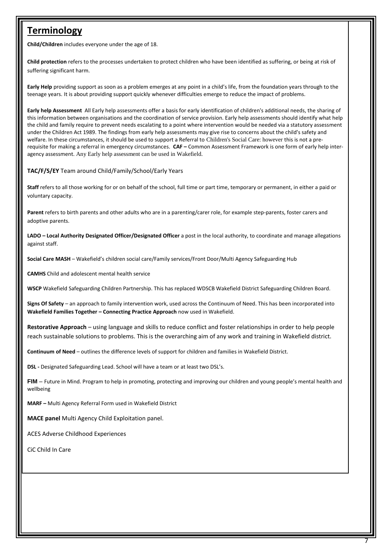# **Terminology**

**Child/Children** includes everyone under the age of 18.

**Child protection** refers to the processes undertaken to protect children who have been identified as suffering, or being at risk of suffering significant harm.

**Early Help** providing support as soon as a problem emerges at any point in a child's life, from the foundation years through to the teenage years. It is about providing support quickly whenever difficulties emerge to reduce the impact of problems.

**Early help Assessment** All Early help assessments offer a basis for early identification of children's additional needs, the sharing of this information between organisations and the coordination of service provision. Early help assessments should identify what help the child and family require to prevent needs escalating to a point where intervention would be needed via a statutory assessment under the Children Act 1989. The findings from early help assessments may give rise to concerns about the child's safety and welfare. In these circumstances, it should be used to support a Referral to Children's Social Care: however this is not a prerequisite for making a referral in emergency circumstances. **CAF –** Common Assessment Framework is one form of early help interagency assessment. Any Early help assessment can be used in Wakefield.

#### **TAC/F/S/EY** Team around Child/Family/School/Early Years

**Staff** refers to all those working for or on behalf of the school, full time or part time, temporary or permanent, in either a paid or voluntary capacity.

**Parent** refers to birth parents and other adults who are in a parenting/carer role, for example step-parents, foster carers and adoptive parents.

**LADO – Local Authority Designated Officer/Designated Officer** a post in the local authority, to coordinate and manage allegations against staff.

**Social Care MASH** – Wakefield's children social care/Family services/Front Door/Multi Agency Safeguarding Hub

**CAMHS** Child and adolescent mental health service

**WSCP** Wakefield Safeguarding Children Partnership. This has replaced WDSCB Wakefield District Safeguarding Children Board.

**Signs Of Safety** – an approach to family intervention work, used across the Continuum of Need. This has been incorporated into **Wakefield Families Together – Connecting Practice Approach** now used in Wakefield.

**Restorative Approach** – using language and skills to reduce conflict and foster relationships in order to help people reach sustainable solutions to problems. This is the overarching aim of any work and training in Wakefield district.

**Continuum of Need** – outlines the difference levels of support for children and families in Wakefield District.

**DSL -** Designated Safeguarding Lead. School will have a team or at least two DSL's.

**FIM** – Future in Mind. Program to help in promoting, protecting and improving our children and young people's mental health and wellbeing

**MARF –** Multi Agency Referral Form used in Wakefield District

**MACE panel** Multi Agency Child Exploitation panel.

ACES Adverse Childhood Experiences

CiC Child In Care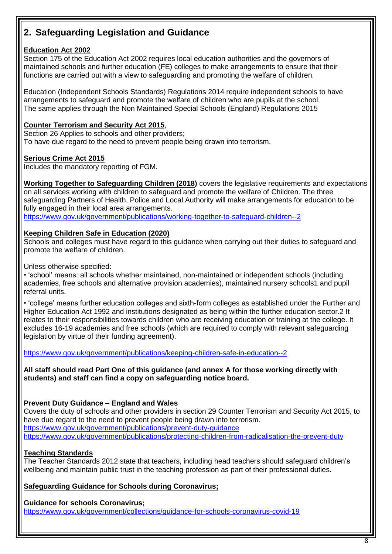# **2. Safeguarding Legislation and Guidance**

## **Education Act 2002**

Section 175 of the Education Act 2002 requires local education authorities and the governors of maintained schools and further education (FE) colleges to make arrangements to ensure that their functions are carried out with a view to safeguarding and promoting the welfare of children.

Education (Independent Schools Standards) Regulations 2014 require independent schools to have arrangements to safeguard and promote the welfare of children who are pupils at the school. The same applies through the Non Maintained Special Schools (England) Regulations 2015

## **Counter Terrorism and Security Act 2015**,

Section 26 Applies to schools and other providers; To have due regard to the need to prevent people being drawn into terrorism.

## **Serious Crime Act 2015**

Includes the mandatory reporting of FGM.

**Working Together to Safeguarding Children (2018)** covers the legislative requirements and expectations on all services working with children to safeguard and promote the welfare of Children. The three safeguarding Partners of Health, Police and Local Authority will make arrangements for education to be fully engaged in their local area arrangements. <https://www.gov.uk/government/publications/working-together-to-safeguard-children--2>

# **Keeping Children Safe in Education (2020)**

Schools and colleges must have regard to this guidance when carrying out their duties to safeguard and promote the welfare of children.

Unless otherwise specified:

• 'school' means: all schools whether maintained, non-maintained or independent schools (including academies, free schools and alternative provision academies), maintained nursery schools1 and pupil referral units.

• 'college' means further education colleges and sixth-form colleges as established under the Further and Higher Education Act 1992 and institutions designated as being within the further education sector.2 It relates to their responsibilities towards children who are receiving education or training at the college. It excludes 16-19 academies and free schools (which are required to comply with relevant safeguarding legislation by virtue of their funding agreement).

<https://www.gov.uk/government/publications/keeping-children-safe-in-education--2>

**All staff should read Part One of this guidance (and annex A for those working directly with students) and staff can find a copy on safeguarding notice board.**

# **Prevent Duty Guidance – England and Wales**

Covers the duty of schools and other providers in section 29 Counter Terrorism and Security Act 2015, to have due regard to the need to prevent people being drawn into terrorism. <https://www.gov.uk/government/publications/prevent-duty-guidance> <https://www.gov.uk/government/publications/protecting-children-from-radicalisation-the-prevent-duty>

#### **Teaching Standards**

The Teacher Standards 2012 state that teachers, including head teachers should safeguard children's wellbeing and maintain public trust in the teaching profession as part of their professional duties.

#### **Safeguarding Guidance for Schools during Coronavirus;**

**Guidance for schools Coronavirus;**

<https://www.gov.uk/government/collections/guidance-for-schools-coronavirus-covid-19>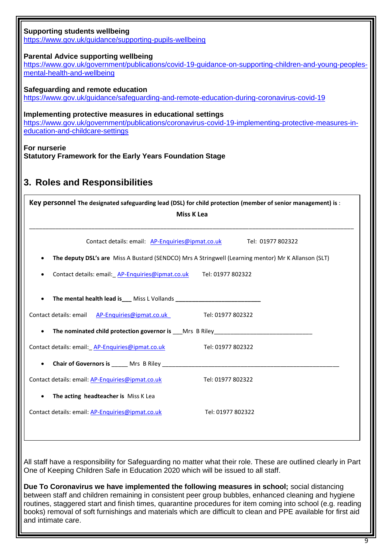| <b>Supporting students wellbeing</b><br>https://www.gov.uk/guidance/supporting-pupils-wellbeing                                                                                                      |                                                                                                        |  |  |  |  |  |
|------------------------------------------------------------------------------------------------------------------------------------------------------------------------------------------------------|--------------------------------------------------------------------------------------------------------|--|--|--|--|--|
| <b>Parental Advice supporting wellbeing</b><br>mental-health-and-wellbeing                                                                                                                           | https://www.gov.uk/government/publications/covid-19-guidance-on-supporting-children-and-young-peoples- |  |  |  |  |  |
| Safeguarding and remote education<br>https://www.gov.uk/guidance/safeguarding-and-remote-education-during-coronavirus-covid-19                                                                       |                                                                                                        |  |  |  |  |  |
| Implementing protective measures in educational settings<br>https://www.gov.uk/government/publications/coronavirus-covid-19-implementing-protective-measures-in-<br>education-and-childcare-settings |                                                                                                        |  |  |  |  |  |
| For nurserie<br><b>Statutory Framework for the Early Years Foundation Stage</b>                                                                                                                      |                                                                                                        |  |  |  |  |  |
| 3. Roles and Responsibilities                                                                                                                                                                        |                                                                                                        |  |  |  |  |  |
| Key personnel The designated safeguarding lead (DSL) for child protection (member of senior management) is :<br><b>Miss K Lea</b>                                                                    |                                                                                                        |  |  |  |  |  |
| Contact details: email: AP-Enquiries@ipmat.co.uk<br>Tel: 01977 802322                                                                                                                                |                                                                                                        |  |  |  |  |  |
| The deputy DSL's are Miss A Bustard (SENDCO) Mrs A Stringwell (Learning mentor) Mr K Allanson (SLT)                                                                                                  |                                                                                                        |  |  |  |  |  |
| Contact details: email: AP-Enquiries@ipmat.co.uk                                                                                                                                                     | Tel: 01977 802322                                                                                      |  |  |  |  |  |
| The mental health lead is___ Miss L Vollands ___                                                                                                                                                     |                                                                                                        |  |  |  |  |  |
| Contact details: email<br>AP-Enquiries@ipmat.co.uk                                                                                                                                                   | Tel: 01977 802322                                                                                      |  |  |  |  |  |
|                                                                                                                                                                                                      |                                                                                                        |  |  |  |  |  |
| Contact details: email: AP-Enquiries@ipmat.co.uk                                                                                                                                                     | Tel: 01977 802322                                                                                      |  |  |  |  |  |
|                                                                                                                                                                                                      |                                                                                                        |  |  |  |  |  |
| Contact details: email: AP-Enquiries@ipmat.co.uk                                                                                                                                                     | Tel: 01977 802322                                                                                      |  |  |  |  |  |
| The acting headteacher is Miss K Lea                                                                                                                                                                 |                                                                                                        |  |  |  |  |  |
| Contact details: email: AP-Enquiries@ipmat.co.uk                                                                                                                                                     | Tel: 01977 802322                                                                                      |  |  |  |  |  |
|                                                                                                                                                                                                      |                                                                                                        |  |  |  |  |  |
|                                                                                                                                                                                                      |                                                                                                        |  |  |  |  |  |
| All staff have a responsibility for Safeguarding no matter what their role. These are outlined clearly in Part<br>One of Keeping Children Safe in Education 2020 which will be issued to all staff.  |                                                                                                        |  |  |  |  |  |

**Due To Coronavirus we have implemented the following measures in school;** social distancing between staff and children remaining in consistent peer group bubbles, enhanced cleaning and hygiene routines, staggered start and finish times, quarantine procedures for item coming into school (e.g. reading books) removal of soft furnishings and materials which are difficult to clean and PPE available for first aid and intimate care.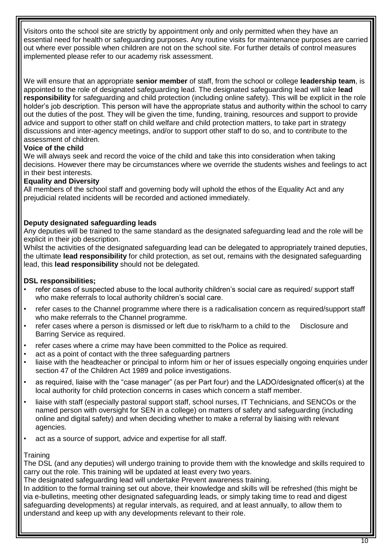Visitors onto the school site are strictly by appointment only and only permitted when they have an essential need for health or safeguarding purposes. Any routine visits for maintenance purposes are carried out where ever possible when children are not on the school site. For further details of control measures implemented please refer to our academy risk assessment.

We will ensure that an appropriate **senior member** of staff, from the school or college **leadership team**, is appointed to the role of designated safeguarding lead. The designated safeguarding lead will take **lead responsibility** for safeguarding and child protection (including online safety). This will be explicit in the role holder's job description. This person will have the appropriate status and authority within the school to carry out the duties of the post. They will be given the time, funding, training, resources and support to provide advice and support to other staff on child welfare and child protection matters, to take part in strategy discussions and inter-agency meetings, and/or to support other staff to do so, and to contribute to the assessment of children.

#### **Voice of the child**

We will always seek and record the voice of the child and take this into consideration when taking decisions. However there may be circumstances where we override the students wishes and feelings to act in their best interests.

#### **Equality and Diversity**

All members of the school staff and governing body will uphold the ethos of the Equality Act and any prejudicial related incidents will be recorded and actioned immediately.

#### **Deputy designated safeguarding leads**

Any deputies will be trained to the same standard as the designated safeguarding lead and the role will be explicit in their job description.

Whilst the activities of the designated safeguarding lead can be delegated to appropriately trained deputies, the ultimate **lead responsibility** for child protection, as set out, remains with the designated safeguarding lead, this **lead responsibility** should not be delegated.

#### **DSL responsibilities;**

- refer cases of suspected abuse to the local authority children's social care as required/ support staff who make referrals to local authority children's social care.
- refer cases to the Channel programme where there is a radicalisation concern as required/support staff who make referrals to the Channel programme.
- refer cases where a person is dismissed or left due to risk/harm to a child to the Disclosure and Barring Service as required.
- refer cases where a crime may have been committed to the Police as required.
- act as a point of contact with the three safeguarding partners
- liaise with the headteacher or principal to inform him or her of issues especially ongoing enquiries under section 47 of the Children Act 1989 and police investigations.
- as required, liaise with the "case manager" (as per Part four) and the LADO/designated officer(s) at the local authority for child protection concerns in cases which concern a staff member.
- liaise with staff (especially pastoral support staff, school nurses, IT Technicians, and SENCOs or the named person with oversight for SEN in a college) on matters of safety and safeguarding (including online and digital safety) and when deciding whether to make a referral by liaising with relevant agencies.
- act as a source of support, advice and expertise for all staff.

#### **Training**

The DSL (and any deputies) will undergo training to provide them with the knowledge and skills required to carry out the role. This training will be updated at least every two years.

The designated safeguarding lead will undertake Prevent awareness training.

In addition to the formal training set out above, their knowledge and skills will be refreshed (this might be via e-bulletins, meeting other designated safeguarding leads, or simply taking time to read and digest safeguarding developments) at regular intervals, as required, and at least annually, to allow them to understand and keep up with any developments relevant to their role.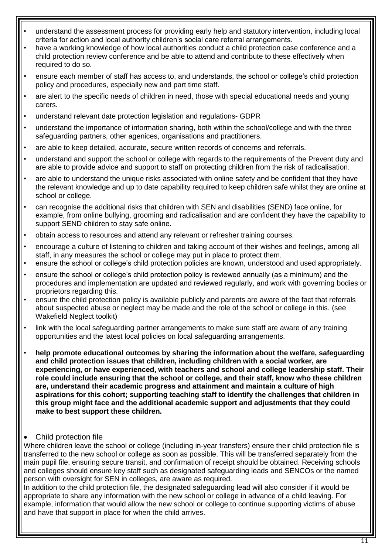- understand the assessment process for providing early help and statutory intervention, including local criteria for action and local authority children's social care referral arrangements.
- have a working knowledge of how local authorities conduct a child protection case conference and a child protection review conference and be able to attend and contribute to these effectively when required to do so.
- ensure each member of staff has access to, and understands, the school or college's child protection policy and procedures, especially new and part time staff.
- are alert to the specific needs of children in need, those with special educational needs and young carers.
- understand relevant date protection legislation and regulations- GDPR
- understand the importance of information sharing, both within the school/college and with the three safeguarding partners, other agenices, organisations and practitioners.
- are able to keep detailed, accurate, secure written records of concerns and referrals.
- understand and support the school or college with regards to the requirements of the Prevent duty and are able to provide advice and support to staff on protecting children from the risk of radicalisation.
- are able to understand the unique risks associated with online safety and be confident that they have the relevant knowledge and up to date capability required to keep children safe whilst they are online at school or college.
- can recognise the additional risks that children with SEN and disabilities (SEND) face online, for example, from online bullying, grooming and radicalisation and are confident they have the capability to support SEND children to stay safe online.
- obtain access to resources and attend any relevant or refresher training courses.
- encourage a culture of listening to children and taking account of their wishes and feelings, among all staff, in any measures the school or college may put in place to protect them.
- ensure the school or college's child protection policies are known, understood and used appropriately.
- ensure the school or college's child protection policy is reviewed annually (as a minimum) and the procedures and implementation are updated and reviewed regularly, and work with governing bodies or proprietors regarding this.
- ensure the child protection policy is available publicly and parents are aware of the fact that referrals about suspected abuse or neglect may be made and the role of the school or college in this. (see Wakefield Neglect toolkit)
- link with the local safeguarding partner arrangements to make sure staff are aware of any training opportunities and the latest local policies on local safeguarding arrangements.
- **help promote educational outcomes by sharing the information about the welfare, safeguarding and child protection issues that children, including children with a social worker, are experiencing, or have experienced, with teachers and school and college leadership staff. Their role could include ensuring that the school or college, and their staff, know who these children are, understand their academic progress and attainment and maintain a culture of high aspirations for this cohort; supporting teaching staff to identify the challenges that children in this group might face and the additional academic support and adjustments that they could make to best support these children.**

#### • Child protection file

Where children leave the school or college (including in-year transfers) ensure their child protection file is transferred to the new school or college as soon as possible. This will be transferred separately from the main pupil file, ensuring secure transit, and confirmation of receipt should be obtained. Receiving schools and colleges should ensure key staff such as designated safeguarding leads and SENCOs or the named person with oversight for SEN in colleges, are aware as required.

In addition to the child protection file, the designated safeguarding lead will also consider if it would be appropriate to share any information with the new school or college in advance of a child leaving. For example, information that would allow the new school or college to continue supporting victims of abuse and have that support in place for when the child arrives.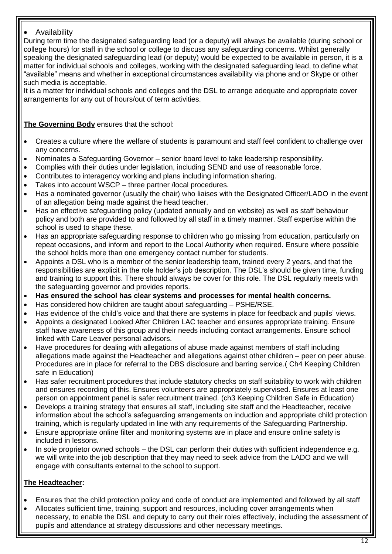# **Availability**

During term time the designated safeguarding lead (or a deputy) will always be available (during school or college hours) for staff in the school or college to discuss any safeguarding concerns. Whilst generally speaking the designated safeguarding lead (or deputy) would be expected to be available in person, it is a matter for individual schools and colleges, working with the designated safeguarding lead, to define what "available" means and whether in exceptional circumstances availability via phone and or Skype or other such media is acceptable.

It is a matter for individual schools and colleges and the DSL to arrange adequate and appropriate cover arrangements for any out of hours/out of term activities.

## **The Governing Body** ensures that the school:

- Creates a culture where the welfare of students is paramount and staff feel confident to challenge over any concerns.
- Nominates a Safeguarding Governor senior board level to take leadership responsibility.
- Complies with their duties under legislation, including SEND and use of reasonable force.
- Contributes to interagency working and plans including information sharing.
- Takes into account WSCP three partner /local procedures.
- Has a nominated governor (usually the chair) who liaises with the Designated Officer/LADO in the event of an allegation being made against the head teacher.
- Has an effective safeguarding policy (updated annually and on website) as well as staff behaviour policy and both are provided to and followed by all staff in a timely manner. Staff expertise within the school is used to shape these.
- Has an appropriate safeguarding response to children who go missing from education, particularly on repeat occasions, and inform and report to the Local Authority when required. Ensure where possible the school holds more than one emergency contact number for students.
- Appoints a DSL who is a member of the senior leadership team, trained every 2 years, and that the responsibilities are explicit in the role holder's job description. The DSL's should be given time, funding and training to support this. There should always be cover for this role. The DSL regularly meets with the safeguarding governor and provides reports.
- **Has ensured the school has clear systems and processes for mental health concerns.**
- Has considered how children are taught about safeguarding PSHE/RSE.
- Has evidence of the child's voice and that there are systems in place for feedback and pupils' views.
- Appoints a designated Looked After Children LAC teacher and ensures appropriate training. Ensure staff have awareness of this group and their needs including contact arrangements. Ensure school linked with Care Leaver personal advisors.
- Have procedures for dealing with allegations of abuse made against members of staff including allegations made against the Headteacher and allegations against other children – peer on peer abuse. Procedures are in place for referral to the DBS disclosure and barring service.( Ch4 Keeping Children safe in Education)
- Has safer recruitment procedures that include statutory checks on staff suitability to work with children and ensures recording of this. Ensures volunteers are appropriately supervised. Ensures at least one person on appointment panel is safer recruitment trained. (ch3 Keeping Children Safe in Education)
- Develops a training strategy that ensures all staff, including site staff and the Headteacher, receive information about the school's safeguarding arrangements on induction and appropriate child protection training, which is regularly updated in line with any requirements of the Safeguarding Partnership.
- Ensure appropriate online filter and monitoring systems are in place and ensure online safety is included in lessons.
- In sole proprietor owned schools the DSL can perform their duties with sufficient independence e.g. we will write into the job description that they may need to seek advice from the LADO and we will engage with consultants external to the school to support.

# **The Headteacher:**

- Ensures that the child protection policy and code of conduct are implemented and followed by all staff
- Allocates sufficient time, training, support and resources, including cover arrangements when necessary, to enable the DSL and deputy to carry out their roles effectively, including the assessment of pupils and attendance at strategy discussions and other necessary meetings.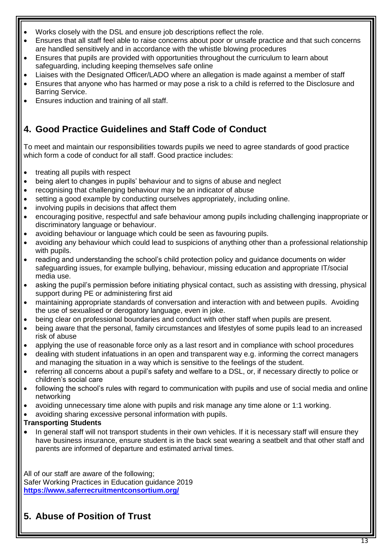- Works closely with the DSL and ensure job descriptions reflect the role.
- Ensures that all staff feel able to raise concerns about poor or unsafe practice and that such concerns are handled sensitively and in accordance with the whistle blowing procedures
- Ensures that pupils are provided with opportunities throughout the curriculum to learn about safeguarding, including keeping themselves safe online
- Liaises with the Designated Officer/LADO where an allegation is made against a member of staff
- Ensures that anyone who has harmed or may pose a risk to a child is referred to the Disclosure and Barring Service.
- Ensures induction and training of all staff.

# **4. Good Practice Guidelines and Staff Code of Conduct**

To meet and maintain our responsibilities towards pupils we need to agree standards of good practice which form a code of conduct for all staff. Good practice includes:

- treating all pupils with respect
- being alert to changes in pupils' behaviour and to signs of abuse and neglect
- recognising that challenging behaviour may be an indicator of abuse
- setting a good example by conducting ourselves appropriately, including online.
- involving pupils in decisions that affect them
- encouraging positive, respectful and safe behaviour among pupils including challenging inappropriate or discriminatory language or behaviour.
- avoiding behaviour or language which could be seen as favouring pupils.
- avoiding any behaviour which could lead to suspicions of anything other than a professional relationship with pupils.
- reading and understanding the school's child protection policy and guidance documents on wider safeguarding issues, for example bullying, behaviour, missing education and appropriate IT/social media use.
- asking the pupil's permission before initiating physical contact, such as assisting with dressing, physical support during PE or administering first aid
- maintaining appropriate standards of conversation and interaction with and between pupils. Avoiding the use of sexualised or derogatory language, even in joke.
- being clear on professional boundaries and conduct with other staff when pupils are present.
- being aware that the personal, family circumstances and lifestyles of some pupils lead to an increased risk of abuse
- applying the use of reasonable force only as a last resort and in compliance with school procedures
- dealing with student infatuations in an open and transparent way e.g. informing the correct managers and managing the situation in a way which is sensitive to the feelings of the student.
- referring all concerns about a pupil's safety and welfare to a DSL, or, if necessary directly to police or children's social care
- following the school's rules with regard to communication with pupils and use of social media and online networking
- avoiding unnecessary time alone with pupils and risk manage any time alone or 1:1 working.
- avoiding sharing excessive personal information with pupils.

#### **Transporting Students**

• In general staff will not transport students in their own vehicles. If it is necessary staff will ensure they have business insurance, ensure student is in the back seat wearing a seatbelt and that other staff and parents are informed of departure and estimated arrival times.

All of our staff are aware of the following; Safer Working Practices in Education guidance 2019 **<https://www.saferrecruitmentconsortium.org/>**

**5. Abuse of Position of Trust**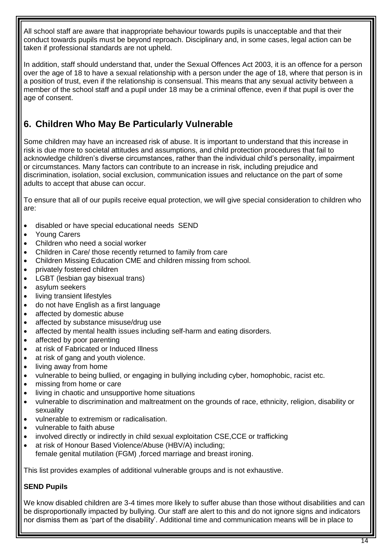All school staff are aware that inappropriate behaviour towards pupils is unacceptable and that their conduct towards pupils must be beyond reproach. Disciplinary and, in some cases, legal action can be taken if professional standards are not upheld.

In addition, staff should understand that, under the Sexual Offences Act 2003, it is an offence for a person over the age of 18 to have a sexual relationship with a person under the age of 18, where that person is in a position of trust, even if the relationship is consensual. This means that any sexual activity between a member of the school staff and a pupil under 18 may be a criminal offence, even if that pupil is over the age of consent.

# **6. Children Who May Be Particularly Vulnerable**

Some children may have an increased risk of abuse. It is important to understand that this increase in risk is due more to societal attitudes and assumptions, and child protection procedures that fail to acknowledge children's diverse circumstances, rather than the individual child's personality, impairment or circumstances. Many factors can contribute to an increase in risk, including prejudice and discrimination, isolation, social exclusion, communication issues and reluctance on the part of some adults to accept that abuse can occur.

To ensure that all of our pupils receive equal protection, we will give special consideration to children who are:

- disabled or have special educational needs SEND
- Young Carers
- Children who need a social worker
- Children in Care/ those recently returned to family from care
- Children Missing Education CME and children missing from school.
- privately fostered children
- LGBT (lesbian gay bisexual trans)
- asylum seekers
- living transient lifestyles
- do not have English as a first language
- affected by domestic abuse
- affected by substance misuse/drug use
- affected by mental health issues including self-harm and eating disorders.
- affected by poor parenting
- at risk of Fabricated or Induced Illness
- at risk of gang and youth violence.
- living away from home
- vulnerable to being bullied, or engaging in bullying including cyber, homophobic, racist etc.
- missing from home or care
- living in chaotic and unsupportive home situations
- vulnerable to discrimination and maltreatment on the grounds of race, ethnicity, religion, disability or sexuality
- vulnerable to extremism or radicalisation.
- vulnerable to faith abuse
- involved directly or indirectly in child sexual exploitation CSE,CCE or trafficking
- at risk of Honour Based Violence/Abuse (HBV/A) including; female genital mutilation (FGM) ,forced marriage and breast ironing.

This list provides examples of additional vulnerable groups and is not exhaustive.

# **SEND Pupils**

We know disabled children are 3-4 times more likely to suffer abuse than those without disabilities and can be disproportionally impacted by bullying. Our staff are alert to this and do not ignore signs and indicators nor dismiss them as 'part of the disability'. Additional time and communication means will be in place to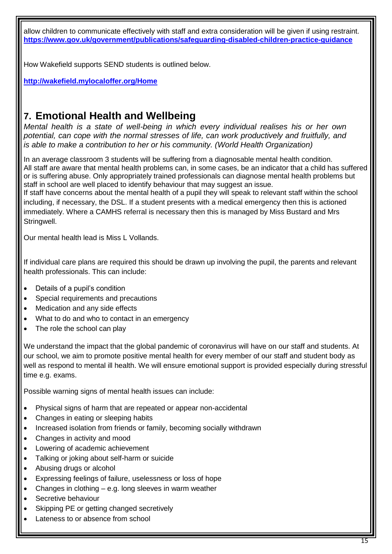allow children to communicate effectively with staff and extra consideration will be given if using restraint. **<https://www.gov.uk/government/publications/safeguarding-disabled-children-practice-guidance>**

How Wakefield supports SEND students is outlined below.

**<http://wakefield.mylocaloffer.org/Home>**

# **7. Emotional Health and Wellbeing**

*Mental health is a state of well-being in which every individual realises his or her own potential, can cope with the normal stresses of life, can work productively and fruitfully, and is able to make a contribution to her or his community. (World Health Organization)*

In an average classroom 3 students will be suffering from a diagnosable mental health condition. All staff are aware that mental health problems can, in some cases, be an indicator that a child has suffered or is suffering abuse. Only appropriately trained professionals can diagnose mental health problems but staff in school are well placed to identify behaviour that may suggest an issue.

If staff have concerns about the mental health of a pupil they will speak to relevant staff within the school including, if necessary, the DSL. If a student presents with a medical emergency then this is actioned immediately. Where a CAMHS referral is necessary then this is managed by Miss Bustard and Mrs Stringwell.

Our mental health lead is Miss L Vollands.

If individual care plans are required this should be drawn up involving the pupil, the parents and relevant health professionals. This can include:

- Details of a pupil's condition
- Special requirements and precautions
- Medication and any side effects
- What to do and who to contact in an emergency
- The role the school can play

We understand the impact that the global pandemic of coronavirus will have on our staff and students. At our school, we aim to promote positive mental health for every member of our staff and student body as well as respond to mental ill health. We will ensure emotional support is provided especially during stressful time e.g. exams.

Possible warning signs of mental health issues can include:

- Physical signs of harm that are repeated or appear non-accidental
- Changes in eating or sleeping habits
- Increased isolation from friends or family, becoming socially withdrawn
- Changes in activity and mood
- Lowering of academic achievement
- Talking or joking about self-harm or suicide
- Abusing drugs or alcohol
- Expressing feelings of failure, uselessness or loss of hope
- Changes in clothing e.g. long sleeves in warm weather
- Secretive behaviour
- Skipping PE or getting changed secretively
- Lateness to or absence from school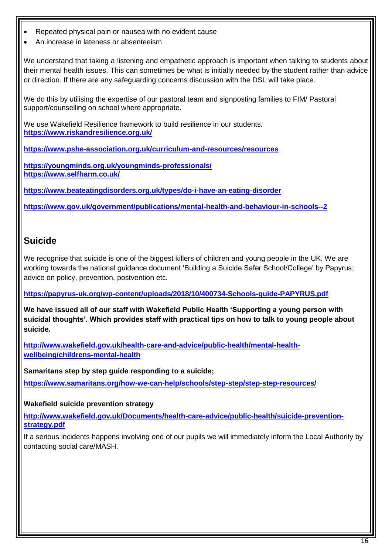- Repeated physical pain or nausea with no evident cause
- An increase in lateness or absenteeism

We understand that taking a listening and empathetic approach is important when talking to students about their mental health issues. This can sometimes be what is initially needed by the student rather than advice or direction. If there are any safeguarding concerns discussion with the DSL will take place.

We do this by utilising the expertise of our pastoral team and signposting families to FIM/ Pastoral support/counselling on school where appropriate.

We use Wakefield Resilience framework to build resilience in our students. **<https://www.riskandresilience.org.uk/>**

**<https://www.pshe-association.org.uk/curriculum-and-resources/resources>**

**<https://youngminds.org.uk/youngminds-professionals/> <https://www.selfharm.co.uk/>**

**<https://www.beateatingdisorders.org.uk/types/do-i-have-an-eating-disorder>**

**<https://www.gov.uk/government/publications/mental-health-and-behaviour-in-schools--2>**

# **Suicide**

We recognise that suicide is one of the biggest killers of children and young people in the UK. We are working towards the national guidance document 'Building a Suicide Safer School/College' by Papyrus; advice on policy, prevention, postvention etc.

**<https://papyrus-uk.org/wp-content/uploads/2018/10/400734-Schools-guide-PAPYRUS.pdf>**

**We have issued all of our staff with Wakefield Public Health 'Supporting a young person with suicidal thoughts'. Which provides staff with practical tips on how to talk to young people about suicide.**

**[http://www.wakefield.gov.uk/health-care-and-advice/public-health/mental-health](http://www.wakefield.gov.uk/health-care-and-advice/public-health/mental-health-wellbeing/childrens-mental-health)[wellbeing/childrens-mental-health](http://www.wakefield.gov.uk/health-care-and-advice/public-health/mental-health-wellbeing/childrens-mental-health)**

**Samaritans step by step guide responding to a suicide;**

**<https://www.samaritans.org/how-we-can-help/schools/step-step/step-step-resources/>**

#### **Wakefield suicide prevention strategy**

**[http://www.wakefield.gov.uk/Documents/health-care-advice/public-health/suicide-prevention](http://www.wakefield.gov.uk/Documents/health-care-advice/public-health/suicide-prevention-strategy.pdf)[strategy.pdf](http://www.wakefield.gov.uk/Documents/health-care-advice/public-health/suicide-prevention-strategy.pdf)**

If a serious incidents happens involving one of our pupils we will immediately inform the Local Authority by contacting social care/MASH.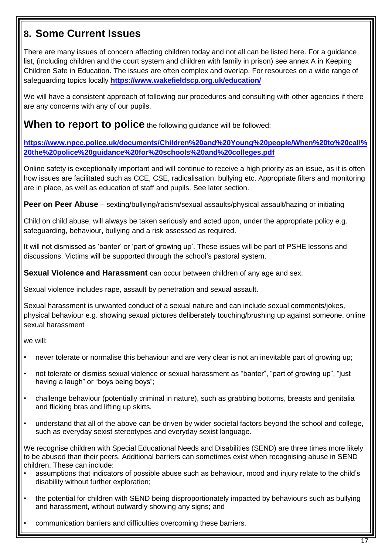# **8. Some Current Issues**

There are many issues of concern affecting children today and not all can be listed here. For a guidance list, (including children and the court system and children with family in prison) see annex A in Keeping Children Safe in Education. The issues are often complex and overlap. For resources on a wide range of safeguarding topics locally **<https://www.wakefieldscp.org.uk/education/>**

We will have a consistent approach of following our procedures and consulting with other agencies if there are any concerns with any of our pupils.

# **When to report to police** the following guidance will be followed;

**[https://www.npcc.police.uk/documents/Children%20and%20Young%20people/When%20to%20call%](https://www.npcc.police.uk/documents/Children%20and%20Young%20people/When%20to%20call%20the%20police%20guidance%20for%20schools%20and%20colleges.pdf) [20the%20police%20guidance%20for%20schools%20and%20colleges.pdf](https://www.npcc.police.uk/documents/Children%20and%20Young%20people/When%20to%20call%20the%20police%20guidance%20for%20schools%20and%20colleges.pdf)**

Online safety is exceptionally important and will continue to receive a high priority as an issue, as it is often how issues are facilitated such as CCE, CSE, radicalisation, bullying etc. Appropriate filters and monitoring are in place, as well as education of staff and pupils. See later section.

**Peer on Peer Abuse** – sexting/bullying/racism/sexual assaults/physical assault/hazing or initiating

Child on child abuse, will always be taken seriously and acted upon, under the appropriate policy e.g. safeguarding, behaviour, bullying and a risk assessed as required.

It will not dismissed as 'banter' or 'part of growing up'. These issues will be part of PSHE lessons and discussions. Victims will be supported through the school's pastoral system.

**Sexual Violence and Harassment** can occur between children of any age and sex.

Sexual violence includes rape, assault by penetration and sexual assault.

Sexual harassment is unwanted conduct of a sexual nature and can include sexual comments/jokes, physical behaviour e.g. showing sexual pictures deliberately touching/brushing up against someone, online sexual harassment

we will;

- never tolerate or normalise this behaviour and are very clear is not an inevitable part of growing up;
- not tolerate or dismiss sexual violence or sexual harassment as "banter", "part of growing up", "just having a laugh" or "boys being boys";
- challenge behaviour (potentially criminal in nature), such as grabbing bottoms, breasts and genitalia and flicking bras and lifting up skirts.
- understand that all of the above can be driven by wider societal factors beyond the school and college, such as everyday sexist stereotypes and everyday sexist language.

We recognise children with Special Educational Needs and Disabilities (SEND) are three times more likely to be abused than their peers. Additional barriers can sometimes exist when recognising abuse in SEND children. These can include:

- assumptions that indicators of possible abuse such as behaviour, mood and injury relate to the child's disability without further exploration;
- the potential for children with SEND being disproportionately impacted by behaviours such as bullying and harassment, without outwardly showing any signs; and
- communication barriers and difficulties overcoming these barriers.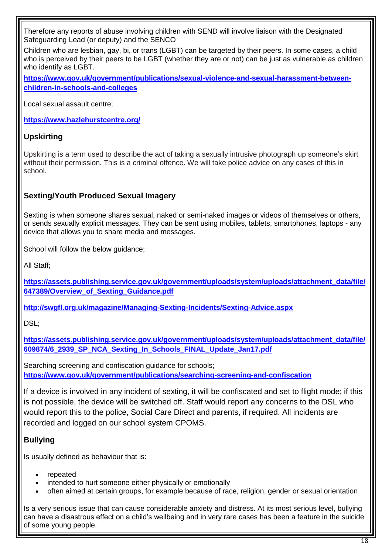Therefore any reports of abuse involving children with SEND will involve liaison with the Designated Safeguarding Lead (or deputy) and the SENCO

Children who are lesbian, gay, bi, or trans (LGBT) can be targeted by their peers. In some cases, a child who is perceived by their peers to be LGBT (whether they are or not) can be just as vulnerable as children who identify as LGBT.

**[https://www.gov.uk/government/publications/sexual-violence-and-sexual-harassment-between](https://www.gov.uk/government/publications/sexual-violence-and-sexual-harassment-between-children-in-schools-and-colleges)[children-in-schools-and-colleges](https://www.gov.uk/government/publications/sexual-violence-and-sexual-harassment-between-children-in-schools-and-colleges)**

Local sexual assault centre;

**<https://www.hazlehurstcentre.org/>**

## **Upskirting**

Upskirting is a term used to describe the act of taking a sexually intrusive photograph up someone's skirt without their permission. This is a criminal offence. We will take police advice on any cases of this in school.

# **Sexting/Youth Produced Sexual Imagery**

Sexting is when someone shares sexual, naked or semi-naked images or videos of themselves or others, or sends sexually explicit messages. They can be sent using mobiles, tablets, smartphones, laptops - any device that allows you to share media and messages.

School will follow the below guidance;

All Staff;

**[https://assets.publishing.service.gov.uk/government/uploads/system/uploads/attachment\\_data/file/](https://assets.publishing.service.gov.uk/government/uploads/system/uploads/attachment_data/file/647389/Overview_of_Sexting_Guidance.pdf) [647389/Overview\\_of\\_Sexting\\_Guidance.pdf](https://assets.publishing.service.gov.uk/government/uploads/system/uploads/attachment_data/file/647389/Overview_of_Sexting_Guidance.pdf)**

**<http://swgfl.org.uk/magazine/Managing-Sexting-Incidents/Sexting-Advice.aspx>**

DSL;

**[https://assets.publishing.service.gov.uk/government/uploads/system/uploads/attachment\\_data/file/](https://assets.publishing.service.gov.uk/government/uploads/system/uploads/attachment_data/file/609874/6_2939_SP_NCA_Sexting_In_Schools_FINAL_Update_Jan17.pdf) [609874/6\\_2939\\_SP\\_NCA\\_Sexting\\_In\\_Schools\\_FINAL\\_Update\\_Jan17.pdf](https://assets.publishing.service.gov.uk/government/uploads/system/uploads/attachment_data/file/609874/6_2939_SP_NCA_Sexting_In_Schools_FINAL_Update_Jan17.pdf)**

Searching screening and confiscation guidance for schools; **<https://www.gov.uk/government/publications/searching-screening-and-confiscation>**

If a device is involved in any incident of sexting, it will be confiscated and set to flight mode; if this is not possible, the device will be switched off. Staff would report any concerns to the DSL who would report this to the police, Social Care Direct and parents, if required. All incidents are recorded and logged on our school system CPOMS.

# **Bullying**

Is usually defined as behaviour that is:

- repeated
- intended to hurt someone either physically or emotionally
- often aimed at certain groups, for example because of race, religion, gender or sexual orientation

Is a very serious issue that can cause considerable anxiety and distress. At its most serious level, bullying can have a disastrous effect on a child's wellbeing and in very rare cases has been a feature in the suicide of some young people.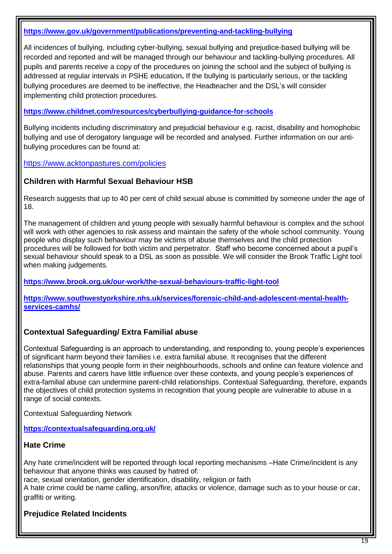### **<https://www.gov.uk/government/publications/preventing-and-tackling-bullying>**

All incidences of bullying, including cyber-bullying, sexual bullying and prejudice-based bullying will be recorded and reported and will be managed through our behaviour and tackling-bullying procedures. All pupils and parents receive a copy of the procedures on joining the school and the subject of bullying is addressed at regular intervals in PSHE education**.** If the bullying is particularly serious, or the tackling bullying procedures are deemed to be ineffective, the Headteacher and the DSL's will consider implementing child protection procedures.

## **<https://www.childnet.com/resources/cyberbullying-guidance-for-schools>**

Bullying incidents including discriminatory and prejudicial behaviour e.g. racist, disability and homophobic bullying and use of derogatory language will be recorded and analysed. Further information on our antibullying procedures can be found at:

#### <https://www.acktonpastures.com/policies>

# **Children with Harmful Sexual Behaviour HSB**

Research suggests that up to 40 per cent of child sexual abuse is committed by someone under the age of 18.

The management of children and young people with sexually harmful behaviour is complex and the school will work with other agencies to risk assess and maintain the safety of the whole school community. Young people who display such behaviour may be victims of abuse themselves and the child protection procedures will be followed for both victim and perpetrator. Staff who become concerned about a pupil's sexual behaviour should speak to a DSL as soon as possible. We will consider the Brook Traffic Light tool when making judgements.

**<https://www.brook.org.uk/our-work/the-sexual-behaviours-traffic-light-tool>**

**[https://www.southwestyorkshire.nhs.uk/services/forensic-child-and-adolescent-mental-health](https://www.southwestyorkshire.nhs.uk/services/forensic-child-and-adolescent-mental-health-services-camhs/)[services-camhs/](https://www.southwestyorkshire.nhs.uk/services/forensic-child-and-adolescent-mental-health-services-camhs/)**

# **Contextual Safeguarding/ Extra Familial abuse**

Contextual Safeguarding is an approach to understanding, and responding to, young people's experiences of significant harm beyond their families i.e. extra familial abuse. It recognises that the different relationships that young people form in their neighbourhoods, schools and online can feature violence and abuse. Parents and carers have little influence over these contexts, and young people's experiences of extra-familial abuse can undermine parent-child relationships. Contextual Safeguarding, therefore, expands the objectives of child protection systems in recognition that young people are vulnerable to abuse in a range of social contexts.

Contextual Safeguarding Network

**<https://contextualsafeguarding.org.uk/>**

# **Hate Crime**

Any hate crime/incident will be reported through local reporting mechanisms –Hate Crime/incident is any behaviour that anyone thinks was caused by hatred of:

race, sexual orientation, gender identification, disability, religion or faith

A hate crime could be name calling, arson/fire, attacks or violence, damage such as to your house or car, graffiti or writing.

# **Prejudice Related Incidents**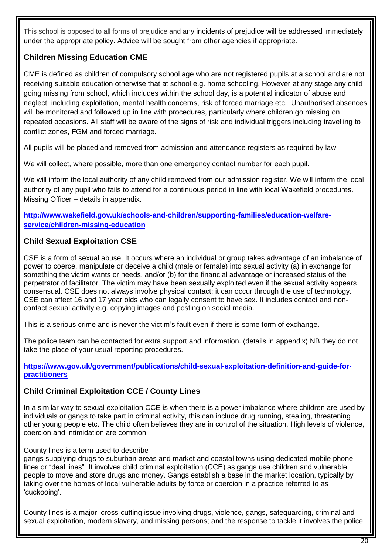This school is opposed to all forms of prejudice and any incidents of prejudice will be addressed immediately under the appropriate policy. Advice will be sought from other agencies if appropriate.

# **Children Missing Education CME**

CME is defined as children of compulsory school age who are not registered pupils at a school and are not receiving suitable education otherwise that at school e.g. home schooling. However at any stage any child going missing from school, which includes within the school day, is a potential indicator of abuse and neglect, including exploitation, mental health concerns, risk of forced marriage etc. Unauthorised absences will be monitored and followed up in line with procedures, particularly where children go missing on repeated occasions. All staff will be aware of the signs of risk and individual triggers including travelling to conflict zones, FGM and forced marriage.

All pupils will be placed and removed from admission and attendance registers as required by law.

We will collect, where possible, more than one emergency contact number for each pupil.

We will inform the local authority of any child removed from our admission register. We will inform the local authority of any pupil who fails to attend for a continuous period in line with local Wakefield procedures. Missing Officer – details in appendix.

**[http://www.wakefield.gov.uk/schools-and-children/supporting-families/education-welfare](http://www.wakefield.gov.uk/schools-and-children/supporting-families/education-welfare-service/children-missing-education)[service/children-missing-education](http://www.wakefield.gov.uk/schools-and-children/supporting-families/education-welfare-service/children-missing-education)**

# **Child Sexual Exploitation CSE**

CSE is a form of sexual abuse. It occurs where an individual or group takes advantage of an imbalance of power to coerce, manipulate or deceive a child (male or female) into sexual activity (a) in exchange for something the victim wants or needs, and/or (b) for the financial advantage or increased status of the perpetrator of facilitator. The victim may have been sexually exploited even if the sexual activity appears consensual. CSE does not always involve physical contact; it can occur through the use of technology. CSE can affect 16 and 17 year olds who can legally consent to have sex. It includes contact and noncontact sexual activity e.g. copying images and posting on social media.

This is a serious crime and is never the victim's fault even if there is some form of exchange.

The police team can be contacted for extra support and information. (details in appendix) NB they do not take the place of your usual reporting procedures.

**[https://www.gov.uk/government/publications/child-sexual-exploitation-definition-and-guide-for](https://www.gov.uk/government/publications/child-sexual-exploitation-definition-and-guide-for-practitioners)[practitioners](https://www.gov.uk/government/publications/child-sexual-exploitation-definition-and-guide-for-practitioners)**

# **Child Criminal Exploitation CCE / County Lines**

In a similar way to sexual exploitation CCE is when there is a power imbalance where children are used by individuals or gangs to take part in criminal activity, this can include drug running, stealing, threatening other young people etc. The child often believes they are in control of the situation. High levels of violence, coercion and intimidation are common.

# County lines is a term used to describe

gangs supplying drugs to suburban areas and market and coastal towns using dedicated mobile phone lines or "deal lines". It involves child criminal exploitation (CCE) as gangs use children and vulnerable people to move and store drugs and money. Gangs establish a base in the market location, typically by taking over the homes of local vulnerable adults by force or coercion in a practice referred to as 'cuckooing'.

County lines is a major, cross-cutting issue involving drugs, violence, gangs, safeguarding, criminal and sexual exploitation, modern slavery, and missing persons; and the response to tackle it involves the police,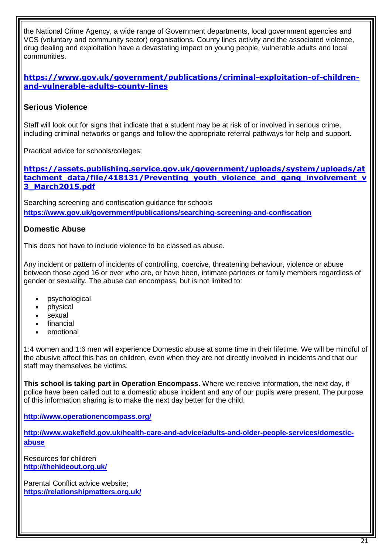the National Crime Agency, a wide range of Government departments, local government agencies and VCS (voluntary and community sector) organisations. County lines activity and the associated violence, drug dealing and exploitation have a devastating impact on young people, vulnerable adults and local communities.

## **[https://www.gov.uk/government/publications/criminal-exploitation-of-children](https://www.gov.uk/government/publications/criminal-exploitation-of-children-and-vulnerable-adults-county-lines)[and-vulnerable-adults-county-lines](https://www.gov.uk/government/publications/criminal-exploitation-of-children-and-vulnerable-adults-county-lines)**

# **Serious Violence**

Staff will look out for signs that indicate that a student may be at risk of or involved in serious crime, including criminal networks or gangs and follow the appropriate referral pathways for help and support.

Practical advice for schools/colleges;

#### **[https://assets.publishing.service.gov.uk/government/uploads/system/uploads/at](https://assets.publishing.service.gov.uk/government/uploads/system/uploads/attachment_data/file/418131/Preventing_youth_violence_and_gang_involvement_v3_March2015.pdf) tachment data/file/418131/Preventing youth violence and gang involvement v [3\\_March2015.pdf](https://assets.publishing.service.gov.uk/government/uploads/system/uploads/attachment_data/file/418131/Preventing_youth_violence_and_gang_involvement_v3_March2015.pdf)**

Searching screening and confiscation guidance for schools **<https://www.gov.uk/government/publications/searching-screening-and-confiscation>**

# **Domestic Abuse**

This does not have to include violence to be classed as abuse.

Any incident or pattern of incidents of controlling, coercive, threatening behaviour, violence or abuse between those aged 16 or over who are, or have been, intimate partners or family members regardless of gender or sexuality. The abuse can encompass, but is not limited to:

- psychological
- physical
- sexual
- financial
- emotional

1:4 women and 1:6 men will experience Domestic abuse at some time in their lifetime. We will be mindful of the abusive affect this has on children, even when they are not directly involved in incidents and that our staff may themselves be victims.

**This school is taking part in Operation Encompass.** Where we receive information, the next day, if police have been called out to a domestic abuse incident and any of our pupils were present. The purpose of this information sharing is to make the next day better for the child.

**<http://www.operationencompass.org/>**

**[http://www.wakefield.gov.uk/health-care-and-advice/adults-and-older-people-services/domestic](http://www.wakefield.gov.uk/health-care-and-advice/adults-and-older-people-services/domestic-abuse)[abuse](http://www.wakefield.gov.uk/health-care-and-advice/adults-and-older-people-services/domestic-abuse)**

Resources for children **<http://thehideout.org.uk/>**

Parental Conflict advice website; **<https://relationshipmatters.org.uk/>**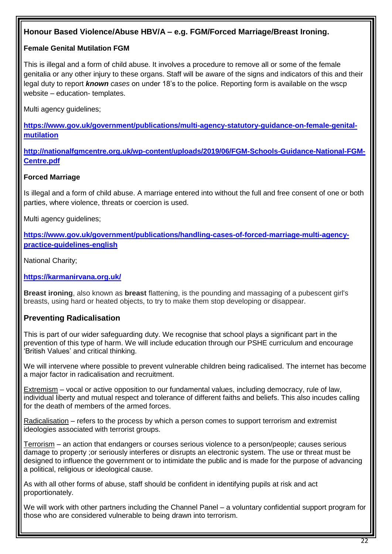# **Honour Based Violence/Abuse HBV/A – e.g. FGM/Forced Marriage/Breast Ironing.**

## **Female Genital Mutilation FGM**

This is illegal and a form of child abuse. It involves a procedure to remove all or some of the female genitalia or any other injury to these organs. Staff will be aware of the signs and indicators of this and their legal duty to report *known cases* on under 18's to the police. Reporting form is available on the wscp website – education- templates.

Multi agency guidelines;

[https://www.gov.uk/government/publications/multi-agency-statutory-guidance-on-female-genital](https://www.gov.uk/government/publications/multi-agency-statutory-guidance-on-female-genital-mutilation)**[mutilation](https://www.gov.uk/government/publications/multi-agency-statutory-guidance-on-female-genital-mutilation)**

**[http://nationalfgmcentre.org.uk/wp-content/uploads/2019/06/FGM-Schools-Guidance-National-FGM-](http://nationalfgmcentre.org.uk/wp-content/uploads/2019/06/FGM-Schools-Guidance-National-FGM-Centre.pdf)[Centre.pdf](http://nationalfgmcentre.org.uk/wp-content/uploads/2019/06/FGM-Schools-Guidance-National-FGM-Centre.pdf)**

## **Forced Marriage**

Is illegal and a form of child abuse. A marriage entered into without the full and free consent of one or both parties, where violence, threats or coercion is used.

Multi agency guidelines;

**[https://www.gov.uk/government/publications/handling-cases-of-forced-marriage-multi-agency](https://www.gov.uk/government/publications/handling-cases-of-forced-marriage-multi-agency-practice-guidelines-english)[practice-guidelines-english](https://www.gov.uk/government/publications/handling-cases-of-forced-marriage-multi-agency-practice-guidelines-english)**

National Charity;

**<https://karmanirvana.org.uk/>**

**Breast ironing**, also known as **breast** flattening, is the pounding and massaging of a pubescent girl's breasts, using hard or heated objects, to try to make them stop developing or disappear.

# **Preventing Radicalisation**

This is part of our wider safeguarding duty. We recognise that school plays a significant part in the prevention of this type of harm. We will include education through our PSHE curriculum and encourage 'British Values' and critical thinking.

We will intervene where possible to prevent vulnerable children being radicalised. The internet has become a major factor in radicalisation and recruitment.

Extremism – vocal or active opposition to our fundamental values, including democracy, rule of law, individual liberty and mutual respect and tolerance of different faiths and beliefs. This also incudes calling for the death of members of the armed forces.

Radicalisation – refers to the process by which a person comes to support terrorism and extremist ideologies associated with terrorist groups.

Terrorism – an action that endangers or courses serious violence to a person/people; causes serious damage to property ;or seriously interferes or disrupts an electronic system. The use or threat must be designed to influence the government or to intimidate the public and is made for the purpose of advancing a political, religious or ideological cause.

As with all other forms of abuse, staff should be confident in identifying pupils at risk and act proportionately.

We will work with other partners including the Channel Panel – a voluntary confidential support program for those who are considered vulnerable to being drawn into terrorism.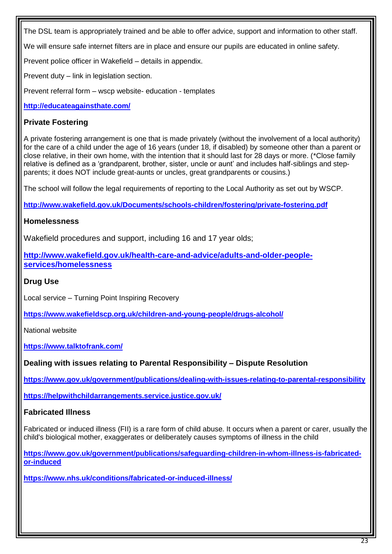The DSL team is appropriately trained and be able to offer advice, support and information to other staff.

We will ensure safe internet filters are in place and ensure our pupils are educated in online safety.

Prevent police officer in Wakefield – details in appendix.

Prevent duty – link in legislation section.

Prevent referral form – wscp website- education - templates

**<http://educateagainsthate.com/>**

# **Private Fostering**

A private fostering arrangement is one that is made privately (without the involvement of a local authority) for the care of a child under the age of 16 years (under 18, if disabled) by someone other than a parent or close relative, in their own home, with the intention that it should last for 28 days or more. (\*Close family relative is defined as a 'grandparent, brother, sister, uncle or aunt' and includes half-siblings and stepparents; it does NOT include great-aunts or uncles, great grandparents or cousins.)

The school will follow the legal requirements of reporting to the Local Authority as set out by WSCP.

**<http://www.wakefield.gov.uk/Documents/schools-children/fostering/private-fostering.pdf>**

# **Homelessness**

Wakefield procedures and support, including 16 and 17 year olds;

**[http://www.wakefield.gov.uk/health-care-and-advice/adults-and-older-people](http://www.wakefield.gov.uk/health-care-and-advice/adults-and-older-people-services/homelessness)[services/homelessness](http://www.wakefield.gov.uk/health-care-and-advice/adults-and-older-people-services/homelessness)**

# **Drug Use**

Local service – Turning Point Inspiring Recovery

**<https://www.wakefieldscp.org.uk/children-and-young-people/drugs-alcohol/>**

National website

**<https://www.talktofrank.com/>**

**Dealing with issues relating to Parental Responsibility – Dispute Resolution**

**<https://www.gov.uk/government/publications/dealing-with-issues-relating-to-parental-responsibility>**

**<https://helpwithchildarrangements.service.justice.gov.uk/>**

# **Fabricated Illness**

Fabricated or induced illness (FII) is a rare form of child abuse. It occurs when a parent or carer, usually the child's biological mother, exaggerates or deliberately causes symptoms of illness in the child

**[https://www.gov.uk/government/publications/safeguarding-children-in-whom-illness-is-fabricated](https://www.gov.uk/government/publications/safeguarding-children-in-whom-illness-is-fabricated-or-induced)[or-induced](https://www.gov.uk/government/publications/safeguarding-children-in-whom-illness-is-fabricated-or-induced)**

**<https://www.nhs.uk/conditions/fabricated-or-induced-illness/>**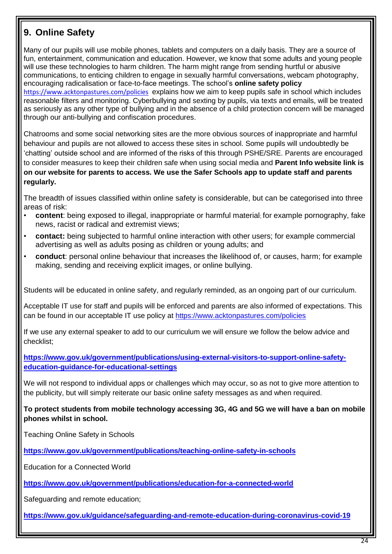# **9. Online Safety**

Many of our pupils will use mobile phones, tablets and computers on a daily basis. They are a source of fun, entertainment, communication and education. However, we know that some adults and young people will use these technologies to harm children. The harm might range from sending hurtful or abusive communications, to enticing children to engage in sexually harmful conversations, webcam photography, encouraging radicalisation or face-to-face meetings. The school's **online safety policy** <https://www.acktonpastures.com/policies> explains how we aim to keep pupils safe in school which includes reasonable filters and monitoring. Cyberbullying and sexting by pupils, via texts and emails, will be treated as seriously as any other type of bullying and in the absence of a child protection concern will be managed through our anti-bullying and confiscation procedures.

Chatrooms and some social networking sites are the more obvious sources of inappropriate and harmful behaviour and pupils are not allowed to access these sites in school. Some pupils will undoubtedly be 'chatting' outside school and are informed of the risks of this through PSHE/SRE. Parents are encouraged to consider measures to keep their children safe when using social media and **Parent Info website link is on our website for parents to access. We use the Safer Schools app to update staff and parents regularly.**

The breadth of issues classified within online safety is considerable, but can be categorised into three areas of risk:

- **content**: being exposed to illegal, inappropriate or harmful material; for example pornography, fake news, racist or radical and extremist views;
- **contact:** being subjected to harmful online interaction with other users; for example commercial advertising as well as adults posing as children or young adults; and
- **conduct**: personal online behaviour that increases the likelihood of, or causes, harm; for example making, sending and receiving explicit images, or online bullying.

Students will be educated in online safety, and regularly reminded, as an ongoing part of our curriculum.

Acceptable IT use for staff and pupils will be enforced and parents are also informed of expectations. This can be found in our acceptable IT use policy at <https://www.acktonpastures.com/policies>

If we use any external speaker to add to our curriculum we will ensure we follow the below advice and checklist;

**[https://www.gov.uk/government/publications/using-external-visitors-to-support-online-safety](https://www.gov.uk/government/publications/using-external-visitors-to-support-online-safety-education-guidance-for-educational-settings)[education-guidance-for-educational-settings](https://www.gov.uk/government/publications/using-external-visitors-to-support-online-safety-education-guidance-for-educational-settings)**

We will not respond to individual apps or challenges which may occur, so as not to give more attention to the publicity, but will simply reiterate our basic online safety messages as and when required.

**To protect students from mobile technology accessing 3G, 4G and 5G we will have a ban on mobile phones whilst in school.**

Teaching Online Safety in Schools

**<https://www.gov.uk/government/publications/teaching-online-safety-in-schools>**

Education for a Connected World

**<https://www.gov.uk/government/publications/education-for-a-connected-world>**

Safeguarding and remote education;

**<https://www.gov.uk/guidance/safeguarding-and-remote-education-during-coronavirus-covid-19>**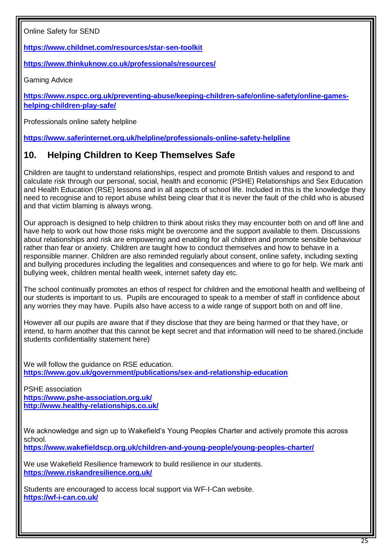Online Safety for SEND

**<https://www.childnet.com/resources/star-sen-toolkit>**

**<https://www.thinkuknow.co.uk/professionals/resources/>**

Gaming Advice

**[https://www.nspcc.org.uk/preventing-abuse/keeping-children-safe/online-safety/online-games](https://www.nspcc.org.uk/preventing-abuse/keeping-children-safe/online-safety/online-games-helping-children-play-safe/)[helping-children-play-safe/](https://www.nspcc.org.uk/preventing-abuse/keeping-children-safe/online-safety/online-games-helping-children-play-safe/)**

Professionals online safety helpline

**<https://www.saferinternet.org.uk/helpline/professionals-online-safety-helpline>**

# **10. Helping Children to Keep Themselves Safe**

Children are taught to understand relationships, respect and promote British values and respond to and calculate risk through our personal, social, health and economic (PSHE) Relationships and Sex Education and Health Education (RSE) lessons and in all aspects of school life. Included in this is the knowledge they need to recognise and to report abuse whilst being clear that it is never the fault of the child who is abused and that victim blaming is always wrong.

Our approach is designed to help children to think about risks they may encounter both on and off line and have help to work out how those risks might be overcome and the support available to them. Discussions about relationships and risk are empowering and enabling for all children and promote sensible behaviour rather than fear or anxiety. Children are taught how to conduct themselves and how to behave in a responsible manner. Children are also reminded regularly about consent, online safety, including sexting and bullying procedures including the legalities and consequences and where to go for help. We mark anti bullying week, children mental health week, internet safety day etc.

The school continually promotes an ethos of respect for children and the emotional health and wellbeing of our students is important to us. Pupils are encouraged to speak to a member of staff in confidence about any worries they may have. Pupils also have access to a wide range of support both on and off line.

However all our pupils are aware that if they disclose that they are being harmed or that they have, or intend, to harm another that this cannot be kept secret and that information will need to be shared.(include students confidentiality statement here)

We will follow the guidance on RSE education. **<https://www.gov.uk/government/publications/sex-and-relationship-education>**

PSHE association **<https://www.pshe-association.org.uk/> <http://www.healthy-relationships.co.uk/>**

We acknowledge and sign up to Wakefield's Young Peoples Charter and actively promote this across school.

**<https://www.wakefieldscp.org.uk/children-and-young-people/young-peoples-charter/>**

We use Wakefield Resilience framework to build resilience in our students. **<https://www.riskandresilience.org.uk/>**

Students are encouraged to access local support via WF-I-Can website. **<https://wf-i-can.co.uk/>**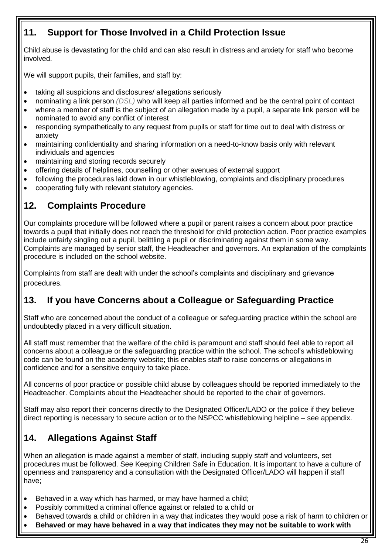# **11. Support for Those Involved in a Child Protection Issue**

Child abuse is devastating for the child and can also result in distress and anxiety for staff who become involved.

We will support pupils, their families, and staff by:

- taking all suspicions and disclosures/ allegations seriously
- nominating a link person *(DSL)* who will keep all parties informed and be the central point of contact
- where a member of staff is the subject of an allegation made by a pupil, a separate link person will be nominated to avoid any conflict of interest
- responding sympathetically to any request from pupils or staff for time out to deal with distress or anxiety
- maintaining confidentiality and sharing information on a need-to-know basis only with relevant individuals and agencies
- maintaining and storing records securely
- offering details of helplines, counselling or other avenues of external support
- following the procedures laid down in our whistleblowing, complaints and disciplinary procedures
- cooperating fully with relevant statutory agencies.

# **12. Complaints Procedure**

Our complaints procedure will be followed where a pupil or parent raises a concern about poor practice towards a pupil that initially does not reach the threshold for child protection action. Poor practice examples include unfairly singling out a pupil, belittling a pupil or discriminating against them in some way. Complaints are managed by senior staff, the Headteacher and governors. An explanation of the complaints procedure is included on the school website.

Complaints from staff are dealt with under the school's complaints and disciplinary and grievance procedures.

# **13. If you have Concerns about a Colleague or Safeguarding Practice**

Staff who are concerned about the conduct of a colleague or safeguarding practice within the school are undoubtedly placed in a very difficult situation.

All staff must remember that the welfare of the child is paramount and staff should feel able to report all concerns about a colleague or the safeguarding practice within the school. The school's whistleblowing code can be found on the academy website; this enables staff to raise concerns or allegations in confidence and for a sensitive enquiry to take place.

All concerns of poor practice or possible child abuse by colleagues should be reported immediately to the Headteacher. Complaints about the Headteacher should be reported to the chair of governors.

Staff may also report their concerns directly to the Designated Officer/LADO or the police if they believe direct reporting is necessary to secure action or to the NSPCC whistleblowing helpline – see appendix.

# **14. Allegations Against Staff**

When an allegation is made against a member of staff, including supply staff and volunteers, set procedures must be followed. See Keeping Children Safe in Education. It is important to have a culture of openness and transparency and a consultation with the Designated Officer/LADO will happen if staff have;

- Behaved in a way which has harmed, or may have harmed a child;
- Possibly committed a criminal offence against or related to a child or
- Behaved towards a child or children in a way that indicates they would pose a risk of harm to children or
- **Behaved or may have behaved in a way that indicates they may not be suitable to work with**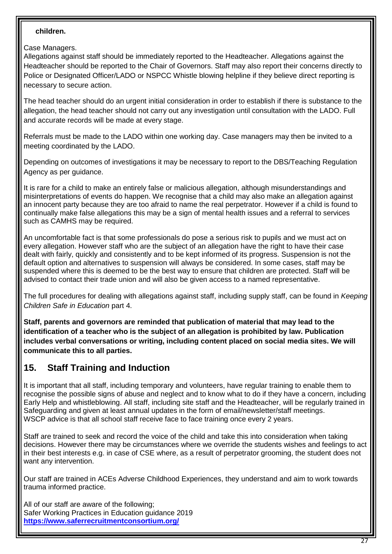#### **children.**

Case Managers.

Allegations against staff should be immediately reported to the Headteacher. Allegations against the Headteacher should be reported to the Chair of Governors. Staff may also report their concerns directly to Police or Designated Officer/LADO or NSPCC Whistle blowing helpline if they believe direct reporting is necessary to secure action.

The head teacher should do an urgent initial consideration in order to establish if there is substance to the allegation, the head teacher should not carry out any investigation until consultation with the LADO. Full and accurate records will be made at every stage.

Referrals must be made to the LADO within one working day. Case managers may then be invited to a meeting coordinated by the LADO.

Depending on outcomes of investigations it may be necessary to report to the DBS/Teaching Regulation Agency as per guidance.

It is rare for a child to make an entirely false or malicious allegation, although misunderstandings and misinterpretations of events do happen. We recognise that a child may also make an allegation against an innocent party because they are too afraid to name the real perpetrator. However if a child is found to continually make false allegations this may be a sign of mental health issues and a referral to services such as CAMHS may be required.

An uncomfortable fact is that some professionals do pose a serious risk to pupils and we must act on every allegation. However staff who are the subject of an allegation have the right to have their case dealt with fairly, quickly and consistently and to be kept informed of its progress. Suspension is not the default option and alternatives to suspension will always be considered. In some cases, staff may be suspended where this is deemed to be the best way to ensure that children are protected. Staff will be advised to contact their trade union and will also be given access to a named representative.

The full procedures for dealing with allegations against staff, including supply staff, can be found in *Keeping Children Safe in Education* part 4.

**Staff, parents and governors are reminded that publication of material that may lead to the identification of a teacher who is the subject of an allegation is prohibited by law. Publication includes verbal conversations or writing, including content placed on social media sites. We will communicate this to all parties.**

# **15. Staff Training and Induction**

It is important that all staff, including temporary and volunteers, have regular training to enable them to recognise the possible signs of abuse and neglect and to know what to do if they have a concern, including Early Help and whistleblowing. All staff, including site staff and the Headteacher, will be regularly trained in Safeguarding and given at least annual updates in the form of email/newsletter/staff meetings. WSCP advice is that all school staff receive face to face training once every 2 years.

Staff are trained to seek and record the voice of the child and take this into consideration when taking decisions. However there may be circumstances where we override the students wishes and feelings to act in their best interests e.g. in case of CSE where, as a result of perpetrator grooming, the student does not want any intervention.

Our staff are trained in ACEs Adverse Childhood Experiences, they understand and aim to work towards trauma informed practice.

All of our staff are aware of the following; Safer Working Practices in Education guidance 2019 **<https://www.saferrecruitmentconsortium.org/>**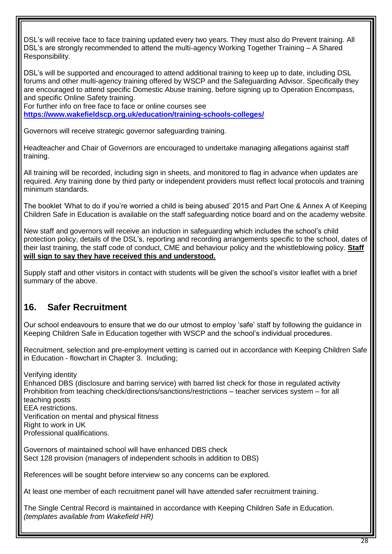DSL's will receive face to face training updated every two years. They must also do Prevent training. All DSL's are strongly recommended to attend the multi-agency Working Together Training – A Shared Responsibility.

DSL's will be supported and encouraged to attend additional training to keep up to date, including DSL forums and other multi-agency training offered by WSCP and the Safeguarding Advisor. Specifically they are encouraged to attend specific Domestic Abuse training, before signing up to Operation Encompass, and specific Online Safety training.

For further info on free face to face or online courses see **<https://www.wakefieldscp.org.uk/education/training-schools-colleges/>**

Governors will receive strategic governor safeguarding training.

Headteacher and Chair of Governors are encouraged to undertake managing allegations against staff training.

All training will be recorded, including sign in sheets, and monitored to flag in advance when updates are required. Any training done by third party or independent providers must reflect local protocols and training minimum standards.

The booklet 'What to do if you're worried a child is being abused' 2015 and Part One & Annex A of Keeping Children Safe in Education is available on the staff safeguarding notice board and on the academy website.

New staff and governors will receive an induction in safeguarding which includes the school's child protection policy, details of the DSL's, reporting and recording arrangements specific to the school, dates of their last training, the staff code of conduct, CME and behaviour policy and the whistleblowing policy. **Staff will sign to say they have received this and understood.**

Supply staff and other visitors in contact with students will be given the school's visitor leaflet with a brief summary of the above.

# **16. Safer Recruitment**

Our school endeavours to ensure that we do our utmost to employ 'safe' staff by following the guidance in Keeping Children Safe in Education together with WSCP and the school's individual procedures.

Recruitment, selection and pre-employment vetting is carried out in accordance with Keeping Children Safe in Education - flowchart in Chapter 3. Including;

Verifying identity Enhanced DBS (disclosure and barring service) with barred list check for those in regulated activity Prohibition from teaching check/directions/sanctions/restrictions – teacher services system – for all teaching posts EEA restrictions. Verification on mental and physical fitness Right to work in UK

Professional qualifications.

Governors of maintained school will have enhanced DBS check Sect 128 provision (managers of independent schools in addition to DBS)

References will be sought before interview so any concerns can be explored.

At least one member of each recruitment panel will have attended safer recruitment training.

The Single Central Record is maintained in accordance with Keeping Children Safe in Education. *(templates available from Wakefield HR)*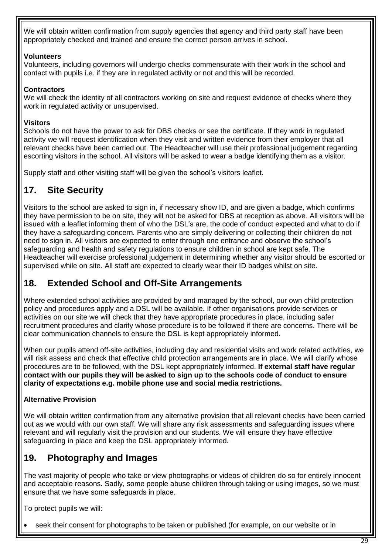We will obtain written confirmation from supply agencies that agency and third party staff have been appropriately checked and trained and ensure the correct person arrives in school.

#### **Volunteers**

Volunteers, including governors will undergo checks commensurate with their work in the school and contact with pupils i.e. if they are in regulated activity or not and this will be recorded.

## **Contractors**

We will check the identity of all contractors working on site and request evidence of checks where they work in regulated activity or unsupervised.

## **Visitors**

Schools do not have the power to ask for DBS checks or see the certificate. If they work in regulated activity we will request identification when they visit and written evidence from their employer that all relevant checks have been carried out. The Headteacher will use their professional judgement regarding escorting visitors in the school. All visitors will be asked to wear a badge identifying them as a visitor.

Supply staff and other visiting staff will be given the school's visitors leaflet.

# **17. Site Security**

Visitors to the school are asked to sign in, if necessary show ID, and are given a badge, which confirms they have permission to be on site, they will not be asked for DBS at reception as above. All visitors will be issued with a leaflet informing them of who the DSL's are, the code of conduct expected and what to do if they have a safeguarding concern. Parents who are simply delivering or collecting their children do not need to sign in. All visitors are expected to enter through one entrance and observe the school's safeguarding and health and safety regulations to ensure children in school are kept safe. The Headteacher will exercise professional judgement in determining whether any visitor should be escorted or supervised while on site. All staff are expected to clearly wear their ID badges whilst on site.

# **18. Extended School and Off-Site Arrangements**

Where extended school activities are provided by and managed by the school, our own child protection policy and procedures apply and a DSL will be available. If other organisations provide services or activities on our site we will check that they have appropriate procedures in place, including safer recruitment procedures and clarify whose procedure is to be followed if there are concerns. There will be clear communication channels to ensure the DSL is kept appropriately informed.

When our pupils attend off-site activities, including day and residential visits and work related activities, we will risk assess and check that effective child protection arrangements are in place. We will clarify whose procedures are to be followed, with the DSL kept appropriately informed. **If external staff have regular contact with our pupils they will be asked to sign up to the schools code of conduct to ensure clarity of expectations e.g. mobile phone use and social media restrictions.**

# **Alternative Provision**

We will obtain written confirmation from any alternative provision that all relevant checks have been carried out as we would with our own staff. We will share any risk assessments and safeguarding issues where relevant and will regularly visit the provision and our students. We will ensure they have effective safeguarding in place and keep the DSL appropriately informed.

# **19. Photography and Images**

The vast majority of people who take or view photographs or videos of children do so for entirely innocent and acceptable reasons. Sadly, some people abuse children through taking or using images, so we must ensure that we have some safeguards in place.

To protect pupils we will:

• seek their consent for photographs to be taken or published (for example, on our website or in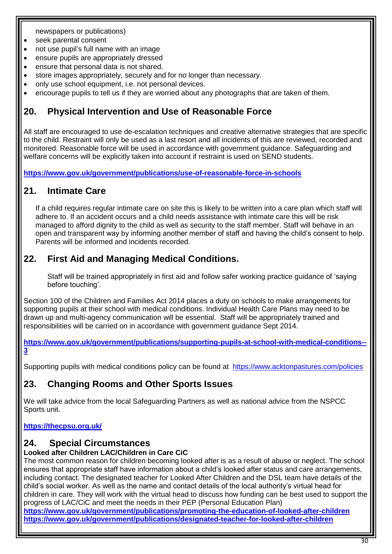newspapers or publications)

- seek parental consent
- not use pupil's full name with an image
- ensure pupils are appropriately dressed
- ensure that personal data is not shared.
- store images appropriately, securely and for no longer than necessary.
- only use school equipment, i.e. not personal devices.
- encourage pupils to tell us if they are worried about any photographs that are taken of them.

# **20. Physical Intervention and Use of Reasonable Force**

All staff are encouraged to use de-escalation techniques and creative alternative strategies that are specific to the child. Restraint will only be used as a last resort and all incidents of this are reviewed, recorded and monitored. Reasonable force will be used in accordance with government guidance. Safeguarding and welfare concerns will be explicitly taken into account if restraint is used on SEND students.

**<https://www.gov.uk/government/publications/use-of-reasonable-force-in-schools>**

# **21. Intimate Care**

If a child requires regular intimate care on site this is likely to be written into a care plan which staff will adhere to. If an accident occurs and a child needs assistance with intimate care this will be risk managed to afford dignity to the child as well as security to the staff member. Staff will behave in an open and transparent way by informing another member of staff and having the child's consent to help. Parents will be informed and incidents recorded.

# **22. First Aid and Managing Medical Conditions.**

Staff will be trained appropriately in first aid and follow safer working practice guidance of 'saying before touching'.

Section 100 of the Children and Families Act 2014 places a duty on schools to make arrangements for supporting pupils at their school with medical conditions. Individual Health Care Plans may need to be drawn up and multi-agency communication will be essential. Staff will be appropriately trained and responsibilities will be carried on in accordance with government guidance Sept 2014.

**[https://www.gov.uk/government/publications/supporting-pupils-at-school-with-medical-conditions--](https://www.gov.uk/government/publications/supporting-pupils-at-school-with-medical-conditions--3) [3](https://www.gov.uk/government/publications/supporting-pupils-at-school-with-medical-conditions--3)**

Supporting pupils with medical conditions policy can be found at <https://www.acktonpastures.com/policies>

# **23. Changing Rooms and Other Sports Issues**

We will take advice from the local Safeguarding Partners as well as national advice from the NSPCC Sports unit.

# **<https://thecpsu.org.uk/>**

# **24. Special Circumstances**

#### **Looked after Children LAC/Children in Care CiC**

The most common reason for children becoming looked after is as a result of abuse or neglect. The school ensures that appropriate staff have information about a child's looked after status and care arrangements, including contact. The designated teacher for Looked After Children and the DSL team have details of the child's social worker. As well as the name and contact details of the local authority's virtual head for children in care. They will work with the virtual head to discuss how funding can be best used to support the progress of LAC/CiC and meet the needs in their PEP (Personal Education Plan)

**<https://www.gov.uk/government/publications/promoting-the-education-of-looked-after-children> <https://www.gov.uk/government/publications/designated-teacher-for-looked-after-children>**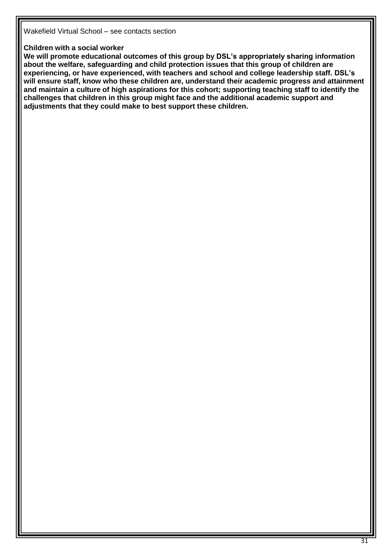Wakefield Virtual School – see contacts section

#### **Children with a social worker**

**We will promote educational outcomes of this group by DSL's appropriately sharing information about the welfare, safeguarding and child protection issues that this group of children are experiencing, or have experienced, with teachers and school and college leadership staff. DSL's will ensure staff, know who these children are, understand their academic progress and attainment and maintain a culture of high aspirations for this cohort; supporting teaching staff to identify the challenges that children in this group might face and the additional academic support and adjustments that they could make to best support these children.**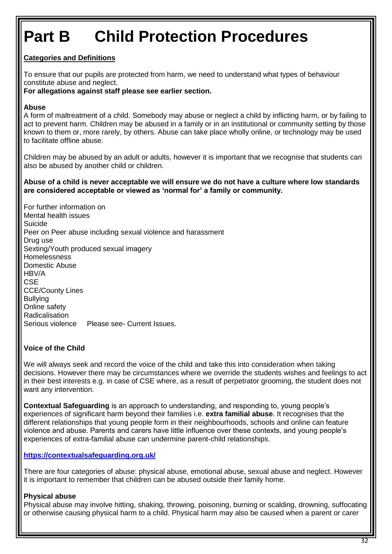# **Part B Child Protection Procedures**

## **Categories and Definitions**

To ensure that our pupils are protected from harm, we need to understand what types of behaviour constitute abuse and neglect.

**For allegations against staff please see earlier section.**

#### **Abuse**

A form of maltreatment of a child. Somebody may abuse or neglect a child by inflicting harm, or by failing to act to prevent harm. Children may be abused in a family or in an institutional or community setting by those known to them or, more rarely, by others. Abuse can take place wholly online, or technology may be used to facilitate offline abuse.

Children may be abused by an adult or adults, however it is important that we recognise that students can also be abused by another child or children.

**Abuse of a child is never acceptable we will ensure we do not have a culture where low standards are considered acceptable or viewed as 'normal for' a family or community.**

For further information on Mental health issues Suicide Peer on Peer abuse including sexual violence and harassment Drug use Sexting/Youth produced sexual imagery **Homelessness** Domestic Abuse HBV/A **CSE** CCE/County Lines Bullying Online safety Radicalisation Serious violence Please see- Current Issues.

#### **Voice of the Child**

We will always seek and record the voice of the child and take this into consideration when taking decisions. However there may be circumstances where we override the students wishes and feelings to act in their best interests e.g. in case of CSE where, as a result of perpetrator grooming, the student does not want any intervention.

**Contextual Safeguarding** is an approach to understanding, and responding to, young people's experiences of significant harm beyond their families i.e. **extra familial abuse**. It recognises that the different relationships that young people form in their neighbourhoods, schools and online can feature violence and abuse. Parents and carers have little influence over these contexts, and young people's experiences of extra-familial abuse can undermine parent-child relationships.

#### **<https://contextualsafeguarding.org.uk/>**

There are four categories of abuse: physical abuse, emotional abuse, sexual abuse and neglect. However it is important to remember that children can be abused outside their family home.

#### **Physical abuse**

Physical abuse may involve hitting, shaking, throwing, poisoning, burning or scalding, drowning, suffocating or otherwise causing physical harm to a child. Physical harm may also be caused when a parent or carer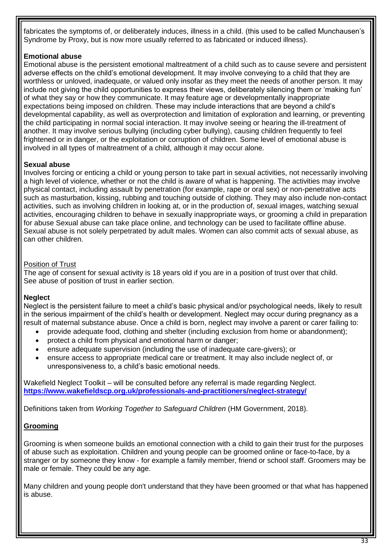fabricates the symptoms of, or deliberately induces, illness in a child. (this used to be called Munchausen's Syndrome by Proxy, but is now more usually referred to as fabricated or induced illness).

## **Emotional abuse**

Emotional abuse is the persistent emotional maltreatment of a child such as to cause severe and persistent adverse effects on the child's emotional development. It may involve conveying to a child that they are worthless or unloved, inadequate, or valued only insofar as they meet the needs of another person. It may include not giving the child opportunities to express their views, deliberately silencing them or 'making fun' of what they say or how they communicate. It may feature age or developmentally inappropriate expectations being imposed on children. These may include interactions that are beyond a child's developmental capability, as well as overprotection and limitation of exploration and learning, or preventing the child participating in normal social interaction. It may involve seeing or hearing the ill-treatment of another. It may involve serious bullying (including cyber bullying), causing children frequently to feel frightened or in danger, or the exploitation or corruption of children. Some level of emotional abuse is involved in all types of maltreatment of a child, although it may occur alone.

#### **Sexual abuse**

Involves forcing or enticing a child or young person to take part in sexual activities, not necessarily involving a high level of violence, whether or not the child is aware of what is happening. The activities may involve physical contact, including assault by penetration (for example, rape or oral sex) or non-penetrative acts such as masturbation, kissing, rubbing and touching outside of clothing. They may also include non-contact activities, such as involving children in looking at, or in the production of, sexual images, watching sexual activities, encouraging children to behave in sexually inappropriate ways, or grooming a child in preparation for abuse Sexual abuse can take place online, and technology can be used to facilitate offline abuse. Sexual abuse is not solely perpetrated by adult males. Women can also commit acts of sexual abuse, as can other children.

## Position of Trust

The age of consent for sexual activity is 18 years old if you are in a position of trust over that child. See abuse of position of trust in earlier section.

#### **Neglect**

Neglect is the persistent failure to meet a child's basic physical and/or psychological needs, likely to result in the serious impairment of the child's health or development. Neglect may occur during pregnancy as a result of maternal substance abuse. Once a child is born, neglect may involve a parent or carer failing to:

- provide adequate food, clothing and shelter (including exclusion from home or abandonment);
- protect a child from physical and emotional harm or danger;
- ensure adequate supervision (including the use of inadequate care-givers); or
- ensure access to appropriate medical care or treatment. It may also include neglect of, or unresponsiveness to, a child's basic emotional needs.

Wakefield Neglect Toolkit – will be consulted before any referral is made regarding Neglect. **<https://www.wakefieldscp.org.uk/professionals-and-practitioners/neglect-strategy/>**

Definitions taken from *Working Together to Safeguard Children* (HM Government, 2018).

# **Grooming**

Grooming is when someone builds an emotional connection with a child to gain their trust for the purposes of abuse such as exploitation. Children and young people can be groomed online or face-to-face, by a stranger or by someone they know - for example a family member, friend or school staff. Groomers may be male or female. They could be any age.

Many children and young people don't understand that they have been groomed or that what has happened is abuse.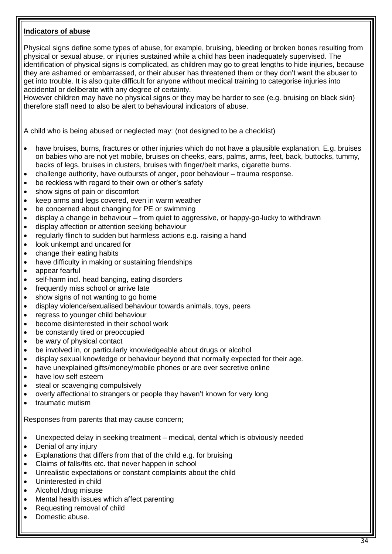#### **Indicators of abuse**

Physical signs define some types of abuse, for example, bruising, bleeding or broken bones resulting from physical or sexual abuse, or injuries sustained while a child has been inadequately supervised. The identification of physical signs is complicated, as children may go to great lengths to hide injuries, because they are ashamed or embarrassed, or their abuser has threatened them or they don't want the abuser to get into trouble. It is also quite difficult for anyone without medical training to categorise injuries into accidental or deliberate with any degree of certainty.

However children may have no physical signs or they may be harder to see (e.g. bruising on black skin) therefore staff need to also be alert to behavioural indicators of abuse.

A child who is being abused or neglected may: (not designed to be a checklist)

- have bruises, burns, fractures or other injuries which do not have a plausible explanation. E.g. bruises on babies who are not yet mobile, bruises on cheeks, ears, palms, arms, feet, back, buttocks, tummy, backs of legs, bruises in clusters, bruises with finger/belt marks, cigarette burns.
- challenge authority, have outbursts of anger, poor behaviour trauma response.
- be reckless with regard to their own or other's safety
- show signs of pain or discomfort
- keep arms and legs covered, even in warm weather
- be concerned about changing for PE or swimming
- display a change in behaviour from quiet to aggressive, or happy-go-lucky to withdrawn
- display affection or attention seeking behaviour
- regularly flinch to sudden but harmless actions e.g. raising a hand
- look unkempt and uncared for
- change their eating habits
- have difficulty in making or sustaining friendships
- appear fearful
- self-harm incl. head banging, eating disorders
- frequently miss school or arrive late
- show signs of not wanting to go home
- display violence/sexualised behaviour towards animals, toys, peers
- regress to younger child behaviour
- become disinterested in their school work
- be constantly tired or preoccupied
- be wary of physical contact
- be involved in, or particularly knowledgeable about drugs or alcohol
- display sexual knowledge or behaviour beyond that normally expected for their age.
- have unexplained gifts/money/mobile phones or are over secretive online
- have low self esteem
- steal or scavenging compulsively
- overly affectional to strangers or people they haven't known for very long
- traumatic mutism

Responses from parents that may cause concern;

- Unexpected delay in seeking treatment medical, dental which is obviously needed
- Denial of any injury
- Explanations that differs from that of the child e.g. for bruising
- Claims of falls/fits etc. that never happen in school
- Unrealistic expectations or constant complaints about the child
- Uninterested in child
- Alcohol /drug misuse
- Mental health issues which affect parenting
- Requesting removal of child
- Domestic abuse.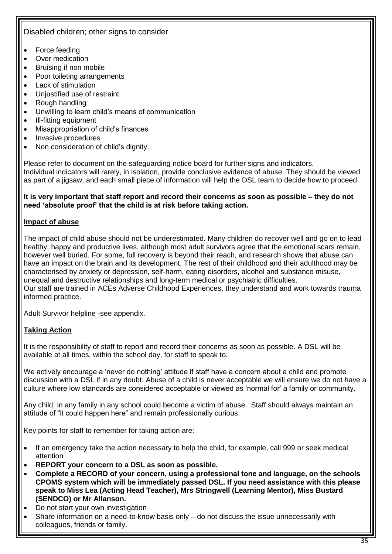# Disabled children; other signs to consider

- Force feeding
- Over medication
- Bruising if non mobile
- Poor toileting arrangements
- Lack of stimulation
- Uniustified use of restraint
- Rough handling
- Unwilling to learn child's means of communication
- Ill-fitting equipment
- Misappropriation of child's finances
- Invasive procedures
- Non consideration of child's dignity.

Please refer to document on the safeguarding notice board for further signs and indicators. Individual indicators will rarely, in isolation, provide conclusive evidence of abuse. They should be viewed as part of a jigsaw, and each small piece of information will help the DSL team to decide how to proceed.

#### **It is very important that staff report and record their concerns as soon as possible – they do not need 'absolute proof' that the child is at risk before taking action.**

# **Impact of abuse**

The impact of child abuse should not be underestimated. Many children do recover well and go on to lead healthy, happy and productive lives, although most adult survivors agree that the emotional scars remain, however well buried. For some, full recovery is beyond their reach, and research shows that abuse can have an impact on the brain and its development. The rest of their childhood and their adulthood may be characterised by anxiety or depression, self-harm, eating disorders, alcohol and substance misuse, unequal and destructive relationships and long-term medical or psychiatric difficulties. Our staff are trained in ACEs Adverse Childhood Experiences, they understand and work towards trauma informed practice.

Adult Survivor helpline -see appendix.

# **Taking Action**

It is the responsibility of staff to report and record their concerns as soon as possible. A DSL will be available at all times, within the school day, for staff to speak to.

We actively encourage a 'never do nothing' attitude if staff have a concern about a child and promote discussion with a DSL if in any doubt. Abuse of a child is never acceptable we will ensure we do not have a culture where low standards are considered acceptable or viewed as 'normal for' a family or community.

Any child, in any family in any school could become a victim of abuse. Staff should always maintain an attitude of "it could happen here" and remain professionally curious.

Key points for staff to remember for taking action are:

- If an emergency take the action necessary to help the child, for example, call 999 or seek medical attention
- **REPORT your concern to a DSL as soon as possible.**
- **Complete a RECORD of your concern, using a professional tone and language, on the schools CPOMS system which will be immediately passed DSL. If you need assistance with this please speak to Miss Lea (Acting Head Teacher), Mrs Stringwell (Learning Mentor), Miss Bustard (SENDCO) or Mr Allanson.**
- Do not start your own investigation
- Share information on a need-to-know basis only do not discuss the issue unnecessarily with colleagues, friends or family.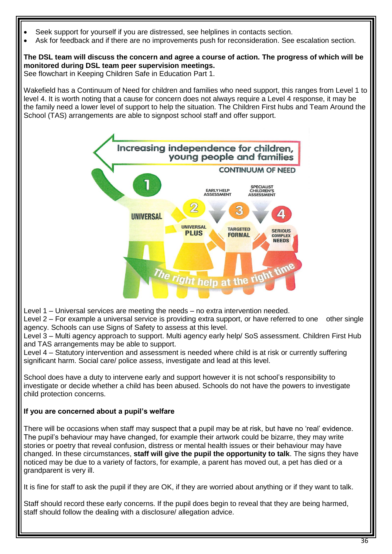- Seek support for yourself if you are distressed, see helplines in contacts section.
- Ask for feedback and if there are no improvements push for reconsideration. See escalation section.

**The DSL team will discuss the concern and agree a course of action. The progress of which will be monitored during DSL team peer supervision meetings.** See flowchart in Keeping Children Safe in Education Part 1.

Wakefield has a Continuum of Need for children and families who need support, this ranges from Level 1 to level 4. It is worth noting that a cause for concern does not always require a Level 4 response, it may be the family need a lower level of support to help the situation. The Children First hubs and Team Around the School (TAS) arrangements are able to signpost school staff and offer support.



Level 1 – Universal services are meeting the needs – no extra intervention needed.

Level 2 – For example a universal service is providing extra support, or have referred to one other single agency. Schools can use Signs of Safety to assess at this level.

Level 3 – Multi agency approach to support. Multi agency early help/ SoS assessment. Children First Hub and TAS arrangements may be able to support.

Level 4 – Statutory intervention and assessment is needed where child is at risk or currently suffering significant harm. Social care/ police assess, investigate and lead at this level.

School does have a duty to intervene early and support however it is not school's responsibility to investigate or decide whether a child has been abused. Schools do not have the powers to investigate child protection concerns.

#### **If you are concerned about a pupil's welfare**

There will be occasions when staff may suspect that a pupil may be at risk, but have no 'real' evidence. The pupil's behaviour may have changed, for example their artwork could be bizarre, they may write stories or poetry that reveal confusion, distress or mental health issues or their behaviour may have changed. In these circumstances, **staff will give the pupil the opportunity to talk**. The signs they have noticed may be due to a variety of factors, for example, a parent has moved out, a pet has died or a grandparent is very ill.

It is fine for staff to ask the pupil if they are OK, if they are worried about anything or if they want to talk.

Staff should record these early concerns. If the pupil does begin to reveal that they are being harmed, staff should follow the dealing with a disclosure/ allegation advice.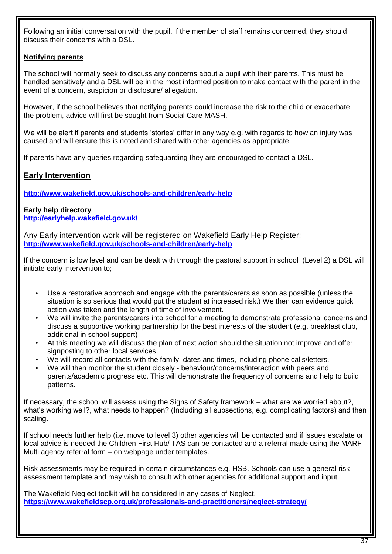Following an initial conversation with the pupil, if the member of staff remains concerned, they should discuss their concerns with a DSL.

# **Notifying parents**

The school will normally seek to discuss any concerns about a pupil with their parents. This must be handled sensitively and a DSL will be in the most informed position to make contact with the parent in the event of a concern, suspicion or disclosure/ allegation.

However, if the school believes that notifying parents could increase the risk to the child or exacerbate the problem, advice will first be sought from Social Care MASH.

We will be alert if parents and students 'stories' differ in any way e.g. with regards to how an injury was caused and will ensure this is noted and shared with other agencies as appropriate.

If parents have any queries regarding safeguarding they are encouraged to contact a DSL.

# **Early Intervention**

**<http://www.wakefield.gov.uk/schools-and-children/early-help>**

#### **Early help directory <http://earlyhelp.wakefield.gov.uk/>**

Any Early intervention work will be registered on Wakefield Early Help Register; **<http://www.wakefield.gov.uk/schools-and-children/early-help>**

If the concern is low level and can be dealt with through the pastoral support in school (Level 2) a DSL will initiate early intervention to;

- Use a restorative approach and engage with the parents/carers as soon as possible (unless the situation is so serious that would put the student at increased risk.) We then can evidence quick action was taken and the length of time of involvement.
- We will invite the parents/carers into school for a meeting to demonstrate professional concerns and discuss a supportive working partnership for the best interests of the student (e.g. breakfast club, additional in school support)
- At this meeting we will discuss the plan of next action should the situation not improve and offer signposting to other local services.
- We will record all contacts with the family, dates and times, including phone calls/letters.
- We will then monitor the student closely behaviour/concerns/interaction with peers and parents/academic progress etc. This will demonstrate the frequency of concerns and help to build patterns.

If necessary, the school will assess using the Signs of Safety framework – what are we worried about?, what's working well?, what needs to happen? (Including all subsections, e.g. complicating factors) and then scaling.

If school needs further help (i.e. move to level 3) other agencies will be contacted and if issues escalate or local advice is needed the Children First Hub/ TAS can be contacted and a referral made using the MARF – Multi agency referral form – on webpage under templates.

Risk assessments may be required in certain circumstances e.g. HSB. Schools can use a general risk assessment template and may wish to consult with other agencies for additional support and input.

The Wakefield Neglect toolkit will be considered in any cases of Neglect. **<https://www.wakefieldscp.org.uk/professionals-and-practitioners/neglect-strategy/>**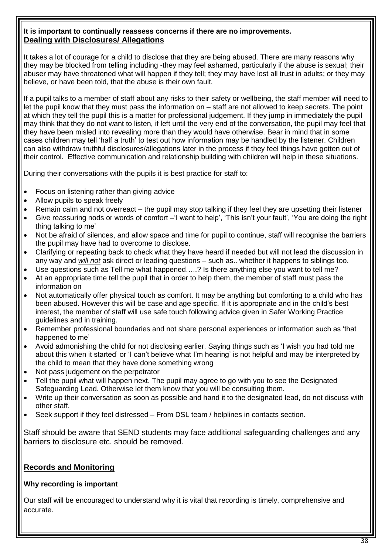## **It is important to continually reassess concerns if there are no improvements. Dealing with Disclosures/ Allegations**

It takes a lot of courage for a child to disclose that they are being abused. There are many reasons why they may be blocked from telling including -they may feel ashamed, particularly if the abuse is sexual; their abuser may have threatened what will happen if they tell; they may have lost all trust in adults; or they may believe, or have been told, that the abuse is their own fault.

If a pupil talks to a member of staff about any risks to their safety or wellbeing, the staff member will need to let the pupil know that they must pass the information on – staff are not allowed to keep secrets. The point at which they tell the pupil this is a matter for professional judgement. If they jump in immediately the pupil may think that they do not want to listen, if left until the very end of the conversation, the pupil may feel that they have been misled into revealing more than they would have otherwise. Bear in mind that in some cases children may tell 'half a truth' to test out how information may be handled by the listener. Children can also withdraw truthful disclosures/allegations later in the process if they feel things have gotten out of their control. Effective communication and relationship building with children will help in these situations.

During their conversations with the pupils it is best practice for staff to:

- Focus on listening rather than giving advice
- Allow pupils to speak freely
- Remain calm and not overreact the pupil may stop talking if they feel they are upsetting their listener
- Give reassuring nods or words of comfort –'I want to help', 'This isn't your fault', 'You are doing the right thing talking to me'
- Not be afraid of silences, and allow space and time for pupil to continue, staff will recognise the barriers the pupil may have had to overcome to disclose.
- Clarifying or repeating back to check what they have heard if needed but will not lead the discussion in any way and *will not* ask direct or leading questions – such as.. whether it happens to siblings too.
- Use questions such as Tell me what happened.....? Is there anything else you want to tell me?
- At an appropriate time tell the pupil that in order to help them, the member of staff must pass the information on
- Not automatically offer physical touch as comfort. It may be anything but comforting to a child who has been abused. However this will be case and age specific. If it is appropriate and in the child's best interest, the member of staff will use safe touch following advice given in Safer Working Practice guidelines and in training.
- Remember professional boundaries and not share personal experiences or information such as 'that happened to me'
- Avoid admonishing the child for not disclosing earlier. Saying things such as 'I wish you had told me about this when it started' or 'I can't believe what I'm hearing' is not helpful and may be interpreted by the child to mean that they have done something wrong
- Not pass judgement on the perpetrator
- Tell the pupil what will happen next. The pupil may agree to go with you to see the Designated Safeguarding Lead. Otherwise let them know that you will be consulting them.
- Write up their conversation as soon as possible and hand it to the designated lead, do not discuss with other staff.
- Seek support if they feel distressed From DSL team / helplines in contacts section.

Staff should be aware that SEND students may face additional safeguarding challenges and any barriers to disclosure etc. should be removed.

# **Records and Monitoring**

#### **Why recording is important**

Our staff will be encouraged to understand why it is vital that recording is timely, comprehensive and accurate.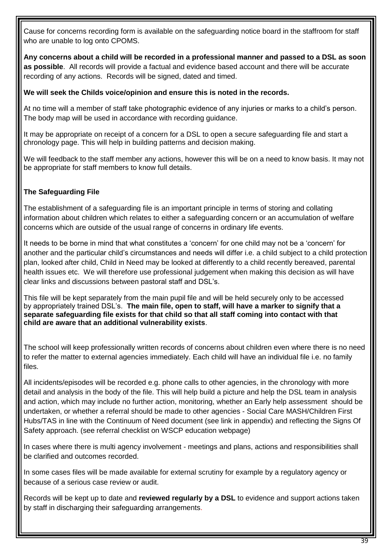Cause for concerns recording form is available on the safeguarding notice board in the staffroom for staff who are unable to log onto CPOMS.

**Any concerns about a child will be recorded in a professional manner and passed to a DSL as soon as possible**. All records will provide a factual and evidence based account and there will be accurate recording of any actions. Records will be signed, dated and timed.

#### **We will seek the Childs voice/opinion and ensure this is noted in the records.**

At no time will a member of staff take photographic evidence of any injuries or marks to a child's person. The body map will be used in accordance with recording guidance.

It may be appropriate on receipt of a concern for a DSL to open a secure safeguarding file and start a chronology page. This will help in building patterns and decision making.

We will feedback to the staff member any actions, however this will be on a need to know basis. It may not be appropriate for staff members to know full details.

#### **The Safeguarding File**

The establishment of a safeguarding file is an important principle in terms of storing and collating information about children which relates to either a safeguarding concern or an accumulation of welfare concerns which are outside of the usual range of concerns in ordinary life events.

It needs to be borne in mind that what constitutes a 'concern' for one child may not be a 'concern' for another and the particular child's circumstances and needs will differ i.e. a child subject to a child protection plan, looked after child, Child in Need may be looked at differently to a child recently bereaved, parental health issues etc. We will therefore use professional judgement when making this decision as will have clear links and discussions between pastoral staff and DSL's.

This file will be kept separately from the main pupil file and will be held securely only to be accessed by appropriately trained DSL's. **The main file, open to staff, will have a marker to signify that a separate safeguarding file exists for that child so that all staff coming into contact with that child are aware that an additional vulnerability exists**.

The school will keep professionally written records of concerns about children even where there is no need to refer the matter to external agencies immediately. Each child will have an individual file i.e. no family files.

All incidents/episodes will be recorded e.g. phone calls to other agencies, in the chronology with more detail and analysis in the body of the file. This will help build a picture and help the DSL team in analysis and action, which may include no further action, monitoring, whether an Early help assessment should be undertaken, or whether a referral should be made to other agencies - Social Care MASH/Children First Hubs/TAS in line with the Continuum of Need document (see link in appendix) and reflecting the Signs Of Safety approach. (see referral checklist on WSCP education webpage)

In cases where there is multi agency involvement - meetings and plans, actions and responsibilities shall be clarified and outcomes recorded.

In some cases files will be made available for external scrutiny for example by a regulatory agency or because of a serious case review or audit.

Records will be kept up to date and **reviewed regularly by a DSL** to evidence and support actions taken by staff in discharging their safeguarding arrangements.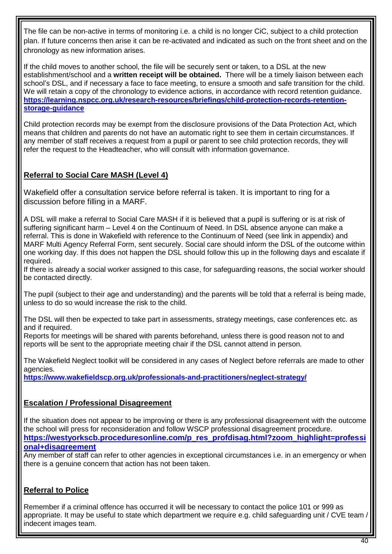The file can be non-active in terms of monitoring i.e. a child is no longer CiC, subject to a child protection plan. If future concerns then arise it can be re-activated and indicated as such on the front sheet and on the chronology as new information arises.

If the child moves to another school, the file will be securely sent or taken, to a DSL at the new establishment/school and a **written receipt will be obtained.** There will be a timely liaison between each school's DSL, and if necessary a face to face meeting, to ensure a smooth and safe transition for the child. We will retain a copy of the chronology to evidence actions, in accordance with record retention guidance. **[https://learning.nspcc.org.uk/research-resources/briefings/child-protection-records-retention](https://learning.nspcc.org.uk/research-resources/briefings/child-protection-records-retention-storage-guidance)[storage-guidance](https://learning.nspcc.org.uk/research-resources/briefings/child-protection-records-retention-storage-guidance)**

Child protection records may be exempt from the disclosure provisions of the Data Protection Act, which means that children and parents do not have an automatic right to see them in certain circumstances. If any member of staff receives a request from a pupil or parent to see child protection records, they will refer the request to the Headteacher, who will consult with information governance.

# **Referral to Social Care MASH (Level 4)**

Wakefield offer a consultation service before referral is taken. It is important to ring for a discussion before filling in a MARF.

A DSL will make a referral to Social Care MASH if it is believed that a pupil is suffering or is at risk of suffering significant harm – Level 4 on the Continuum of Need. In DSL absence anyone can make a referral. This is done in Wakefield with reference to the Continuum of Need (see link in appendix) and MARF Multi Agency Referral Form, sent securely. Social care should inform the DSL of the outcome within one working day. If this does not happen the DSL should follow this up in the following days and escalate if required.

If there is already a social worker assigned to this case, for safeguarding reasons, the social worker should be contacted directly.

The pupil (subject to their age and understanding) and the parents will be told that a referral is being made, unless to do so would increase the risk to the child.

The DSL will then be expected to take part in assessments, strategy meetings, case conferences etc. as and if required.

Reports for meetings will be shared with parents beforehand, unless there is good reason not to and reports will be sent to the appropriate meeting chair if the DSL cannot attend in person.

The Wakefield Neglect toolkit will be considered in any cases of Neglect before referrals are made to other agencies.

**<https://www.wakefieldscp.org.uk/professionals-and-practitioners/neglect-strategy/>**

# **Escalation / Professional Disagreement**

If the situation does not appear to be improving or there is any professional disagreement with the outcome the school will press for reconsideration and follow WSCP professional disagreement procedure. **[https://westyorkscb.proceduresonline.com/p\\_res\\_profdisag.html?zoom\\_highlight=professi](https://westyorkscb.proceduresonline.com/p_res_profdisag.html?zoom_highlight=professional+disagreement) [onal+disagreement](https://westyorkscb.proceduresonline.com/p_res_profdisag.html?zoom_highlight=professional+disagreement)**

Any member of staff can refer to other agencies in exceptional circumstances i.e. in an emergency or when there is a genuine concern that action has not been taken.

# **Referral to Police**

Remember if a criminal offence has occurred it will be necessary to contact the police 101 or 999 as appropriate. It may be useful to state which department we require e.g. child safeguarding unit / CVE team / indecent images team.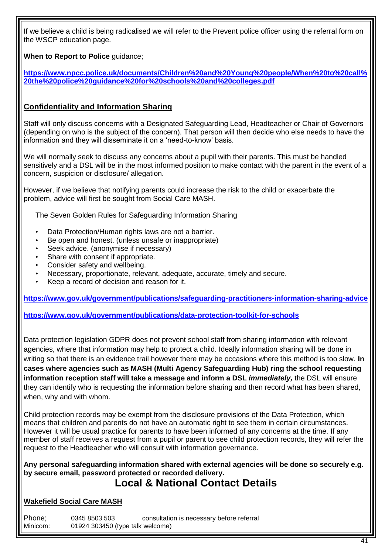If we believe a child is being radicalised we will refer to the Prevent police officer using the referral form on the WSCP education page.

**When to Report to Police** guidance;

**[https://www.npcc.police.uk/documents/Children%20and%20Young%20people/When%20to%20call%](https://www.npcc.police.uk/documents/Children%20and%20Young%20people/When%20to%20call%20the%20police%20guidance%20for%20schools%20and%20colleges.pdf) [20the%20police%20guidance%20for%20schools%20and%20colleges.pdf](https://www.npcc.police.uk/documents/Children%20and%20Young%20people/When%20to%20call%20the%20police%20guidance%20for%20schools%20and%20colleges.pdf)**

## **Confidentiality and Information Sharing**

Staff will only discuss concerns with a Designated Safeguarding Lead, Headteacher or Chair of Governors (depending on who is the subject of the concern). That person will then decide who else needs to have the information and they will disseminate it on a 'need-to-know' basis.

We will normally seek to discuss any concerns about a pupil with their parents. This must be handled sensitively and a DSL will be in the most informed position to make contact with the parent in the event of a concern, suspicion or disclosure/ allegation.

However, if we believe that notifying parents could increase the risk to the child or exacerbate the problem, advice will first be sought from Social Care MASH.

The Seven Golden Rules for Safeguarding Information Sharing

- Data Protection/Human rights laws are not a barrier.
- Be open and honest. (unless unsafe or inappropriate)
- Seek advice. (anonymise if necessary)
- Share with consent if appropriate.
- Consider safety and wellbeing.
- Necessary, proportionate, relevant, adequate, accurate, timely and secure.
- Keep a record of decision and reason for it.

**<https://www.gov.uk/government/publications/safeguarding-practitioners-information-sharing-advice>**

**<https://www.gov.uk/government/publications/data-protection-toolkit-for-schools>**

Data protection legislation GDPR does not prevent school staff from sharing information with relevant agencies, where that information may help to protect a child. Ideally information sharing will be done in writing so that there is an evidence trail however there may be occasions where this method is too slow. **In cases where agencies such as MASH (Multi Agency Safeguarding Hub) ring the school requesting information reception staff will take a message and inform a DSL** *immediately,* the DSL will ensure they can identify who is requesting the information before sharing and then record what has been shared, when, why and with whom.

Child protection records may be exempt from the disclosure provisions of the Data Protection, which means that children and parents do not have an automatic right to see them in certain circumstances. However it will be usual practice for parents to have been informed of any concerns at the time. If any member of staff receives a request from a pupil or parent to see child protection records, they will refer the request to the Headteacher who will consult with information governance.

**Any personal safeguarding information shared with external agencies will be done so securely e.g. by secure email, password protected or recorded delivery.**

# **Local & National Contact Details**

#### **Wakefield Social Care MASH**

Phone; 0345 8503 503 consultation is necessary before referral Minicom: 01924 303450 (type talk welcome)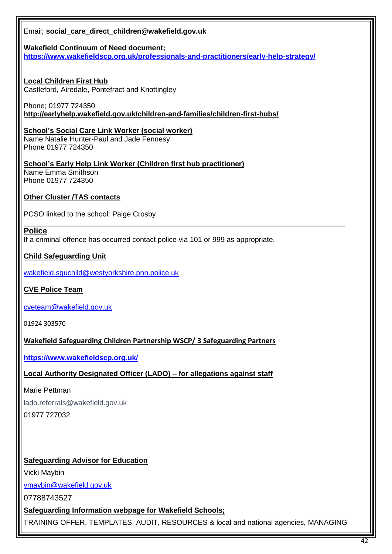# Email; **social\_care\_direct\_children@wakefield.gov.uk**

#### **Wakefield Continuum of Need document;**

**<https://www.wakefieldscp.org.uk/professionals-and-practitioners/early-help-strategy/>**

#### **Local Children First Hub**

Castleford, Airedale, Pontefract and Knottingley

#### Phone; 01977 724350 **<http://earlyhelp.wakefield.gov.uk/children-and-families/children-first-hubs/>**

#### **School's Social Care Link Worker (social worker)**

Name Natalie Hunter-Paul and Jade Fennesy Phone 01977 724350

**School's Early Help Link Worker (Children first hub practitioner)** Name Emma Smithson Phone 01977 724350

#### **Other Cluster /TAS contacts**

PCSO linked to the school: Paige Crosby

#### **Police**

If a criminal offence has occurred contact police via 101 or 999 as appropriate.

## **Child Safeguarding Unit**

wakefield.sguchild@westyorkshire.pnn.police.uk

#### **CVE Police Team**

[cveteam@wakefield.gov.uk](mailto:cveteam@wakefield.gov.uk)

01924 303570

#### **Wakefield Safeguarding Children Partnership WSCP/ 3 Safeguarding Partners**

**<https://www.wakefieldscp.org.uk/>**

#### **Local Authority Designated Officer (LADO) – for allegations against staff**

Marie Pettman

lado.referrals@wakefield.gov.uk

01977 727032

# **Safeguarding Advisor for Education**

Vicki Maybin

vmaybin@wakefield.gov.uk

07788743527

#### **Safeguarding Information webpage for Wakefield Schools;**

TRAINING OFFER, TEMPLATES, AUDIT, RESOURCES & local and national agencies, MANAGING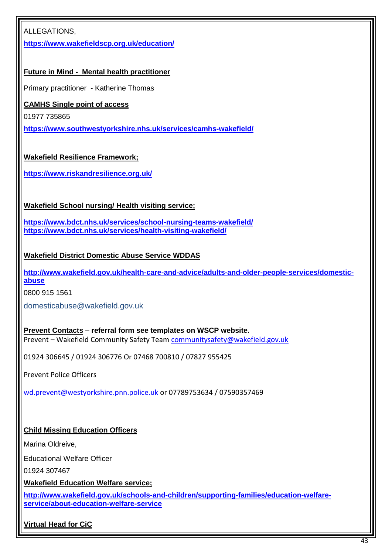# ALLEGATIONS,

**<https://www.wakefieldscp.org.uk/education/>**

#### **Future in Mind - Mental health practitioner**

Primary practitioner - Katherine Thomas

#### **CAMHS Single point of access**

01977 735865

**https://www.southwestyorkshire.nhs.uk/services/camhs-wakefield/**

## **Wakefield Resilience Framework;**

**<https://www.riskandresilience.org.uk/>**

**Wakefield School nursing/ Health visiting service;**

**<https://www.bdct.nhs.uk/services/school-nursing-teams-wakefield/> <https://www.bdct.nhs.uk/services/health-visiting-wakefield/>**

## **Wakefield District Domestic Abuse Service WDDAS**

**[http://www.wakefield.gov.uk/health-care-and-advice/adults-and-older-people-services/domestic](http://www.wakefield.gov.uk/health-care-and-advice/adults-and-older-people-services/domestic-abuse)[abuse](http://www.wakefield.gov.uk/health-care-and-advice/adults-and-older-people-services/domestic-abuse)**

0800 915 1561

domesticabuse@wakefield.gov.uk

**Prevent Contacts – referral form see templates on WSCP website.** Prevent – Wakefield Community Safety Team [communitysafety@wakefield.gov.uk](mailto:communitysafety@wakefield.gov.uk)

01924 306645 / 01924 306776 Or 07468 700810 / 07827 955425

Prevent Police Officers

[wd.prevent@westyorkshire.pnn.police.uk](mailto:wd.prevent@westyorkshire.pnn.police.uk) or 07789753634 / 07590357469

#### **Child Missing Education Officers**

[Marina](http://mysite/Person.aspx?accountname=EXCH%5FDOMAIN%5F1%5Cmoldreive) Oldreive,

Educational Welfare Officer

01924 307467

#### **Wakefield Education Welfare service;**

**[http://www.wakefield.gov.uk/schools-and-children/supporting-families/education-welfare](http://www.wakefield.gov.uk/schools-and-children/supporting-families/education-welfare-service/about-education-welfare-service)[service/about-education-welfare-service](http://www.wakefield.gov.uk/schools-and-children/supporting-families/education-welfare-service/about-education-welfare-service)**

# **Virtual Head for CiC**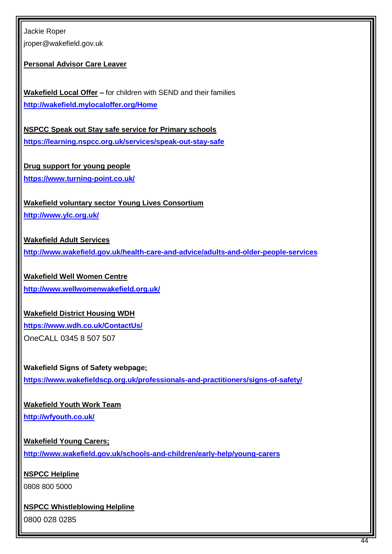Jackie Roper jroper@wakefield.gov.uk

## **Personal Advisor Care Leaver**

**Wakefield Local Offer –** for children with SEND and their families **<http://wakefield.mylocaloffer.org/Home>**

**NSPCC Speak out Stay safe service for Primary schools <https://learning.nspcc.org.uk/services/speak-out-stay-safe>**

#### **Drug support for young people**

**<https://www.turning-point.co.uk/>**

**Wakefield voluntary sector Young Lives Consortium**

**<http://www.ylc.org.uk/>**

#### **Wakefield Adult Services**

**<http://www.wakefield.gov.uk/health-care-and-advice/adults-and-older-people-services>**

#### **Wakefield Well Women Centre**

**<http://www.wellwomenwakefield.org.uk/>**

#### **Wakefield District Housing WDH**

**<https://www.wdh.co.uk/ContactUs/>**

OneCALL 0345 8 507 507

#### **Wakefield Signs of Safety webpage;**

**<https://www.wakefieldscp.org.uk/professionals-and-practitioners/signs-of-safety/>**

#### **Wakefield Youth Work Team**

**<http://wfyouth.co.uk/>**

#### **Wakefield Young Carers;**

**<http://www.wakefield.gov.uk/schools-and-children/early-help/young-carers>**

#### **NSPCC Helpline**

0808 800 5000

#### **NSPCC Whistleblowing Helpline**

0800 028 0285